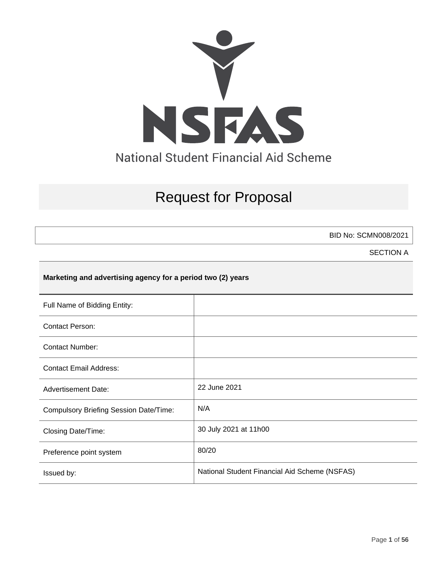

# Request for Proposal

BID No: SCMN008/2021

SECTION A

# **Marketing and advertising agency for a period two (2) years**

| Full Name of Bidding Entity:                  |                                               |
|-----------------------------------------------|-----------------------------------------------|
| <b>Contact Person:</b>                        |                                               |
| Contact Number:                               |                                               |
| <b>Contact Email Address:</b>                 |                                               |
| <b>Advertisement Date:</b>                    | 22 June 2021                                  |
| <b>Compulsory Briefing Session Date/Time:</b> | N/A                                           |
| Closing Date/Time:                            | 30 July 2021 at 11h00                         |
| Preference point system                       | 80/20                                         |
| Issued by:                                    | National Student Financial Aid Scheme (NSFAS) |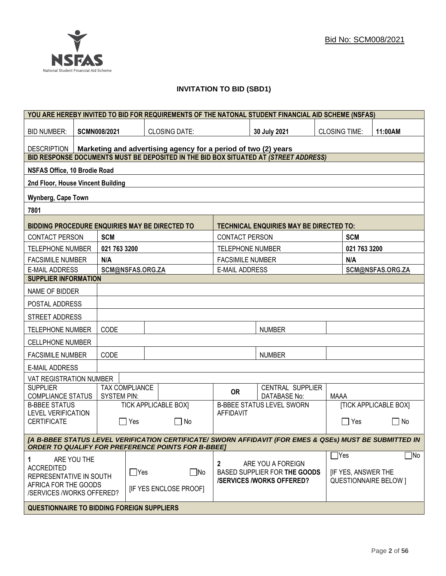

# **INVITATION TO BID (SBD1)**

|                                                                                                                                                                      | YOU ARE HEREBY INVITED TO BID FOR REQUIREMENTS OF THE NATONAL STUDENT FINANCIAL AID SCHEME (NSFAS) |                     |                  |                                                                                      |                         |                                                                                      |                      |                           |                              |
|----------------------------------------------------------------------------------------------------------------------------------------------------------------------|----------------------------------------------------------------------------------------------------|---------------------|------------------|--------------------------------------------------------------------------------------|-------------------------|--------------------------------------------------------------------------------------|----------------------|---------------------------|------------------------------|
| <b>BID NUMBER:</b>                                                                                                                                                   |                                                                                                    | <b>SCMN008/2021</b> |                  | <b>CLOSING DATE:</b>                                                                 |                         | 30 July 2021                                                                         | <b>CLOSING TIME:</b> |                           | 11:00AM                      |
| Marketing and advertising agency for a period of two (2) years<br><b>DESCRIPTION</b>                                                                                 |                                                                                                    |                     |                  |                                                                                      |                         |                                                                                      |                      |                           |                              |
|                                                                                                                                                                      |                                                                                                    |                     |                  | BID RESPONSE DOCUMENTS MUST BE DEPOSITED IN THE BID BOX SITUATED AT (STREET ADDRESS) |                         |                                                                                      |                      |                           |                              |
| <b>NSFAS Office, 10 Brodie Road</b>                                                                                                                                  |                                                                                                    |                     |                  |                                                                                      |                         |                                                                                      |                      |                           |                              |
| 2nd Floor, House Vincent Building                                                                                                                                    |                                                                                                    |                     |                  |                                                                                      |                         |                                                                                      |                      |                           |                              |
| <b>Wynberg, Cape Town</b>                                                                                                                                            |                                                                                                    |                     |                  |                                                                                      |                         |                                                                                      |                      |                           |                              |
| 7801                                                                                                                                                                 |                                                                                                    |                     |                  |                                                                                      |                         |                                                                                      |                      |                           |                              |
| BIDDING PROCEDURE ENQUIRIES MAY BE DIRECTED TO                                                                                                                       |                                                                                                    |                     |                  |                                                                                      |                         | <b>TECHNICAL ENQUIRIES MAY BE DIRECTED TO:</b>                                       |                      |                           |                              |
| <b>CONTACT PERSON</b>                                                                                                                                                |                                                                                                    | <b>SCM</b>          |                  |                                                                                      | <b>CONTACT PERSON</b>   |                                                                                      |                      | <b>SCM</b>                |                              |
| <b>TELEPHONE NUMBER</b>                                                                                                                                              |                                                                                                    | 021 763 3200        |                  |                                                                                      | <b>TELEPHONE NUMBER</b> |                                                                                      |                      | 021 763 3200              |                              |
| <b>FACSIMILE NUMBER</b>                                                                                                                                              |                                                                                                    | N/A                 |                  |                                                                                      | <b>FACSIMILE NUMBER</b> |                                                                                      |                      | N/A                       |                              |
| <b>E-MAIL ADDRESS</b>                                                                                                                                                |                                                                                                    |                     | SCM@NSFAS.ORG.ZA |                                                                                      | <b>E-MAIL ADDRESS</b>   |                                                                                      |                      |                           | SCM@NSFAS.ORG.ZA             |
| <b>SUPPLIER INFORMATION</b>                                                                                                                                          |                                                                                                    |                     |                  |                                                                                      |                         |                                                                                      |                      |                           |                              |
| NAME OF BIDDER                                                                                                                                                       |                                                                                                    |                     |                  |                                                                                      |                         |                                                                                      |                      |                           |                              |
| POSTAL ADDRESS                                                                                                                                                       |                                                                                                    |                     |                  |                                                                                      |                         |                                                                                      |                      |                           |                              |
| STREET ADDRESS                                                                                                                                                       |                                                                                                    |                     |                  |                                                                                      |                         |                                                                                      |                      |                           |                              |
| <b>TELEPHONE NUMBER</b>                                                                                                                                              |                                                                                                    | CODE                |                  |                                                                                      |                         | <b>NUMBER</b>                                                                        |                      |                           |                              |
| <b>CELLPHONE NUMBER</b>                                                                                                                                              |                                                                                                    |                     |                  |                                                                                      |                         |                                                                                      |                      |                           |                              |
| <b>FACSIMILE NUMBER</b>                                                                                                                                              |                                                                                                    | CODE                |                  |                                                                                      |                         | <b>NUMBER</b>                                                                        |                      |                           |                              |
| <b>E-MAIL ADDRESS</b>                                                                                                                                                |                                                                                                    |                     |                  |                                                                                      |                         |                                                                                      |                      |                           |                              |
| VAT REGISTRATION NUMBER                                                                                                                                              |                                                                                                    |                     |                  |                                                                                      |                         |                                                                                      |                      |                           |                              |
| <b>SUPPLIER</b><br><b>COMPLIANCE STATUS</b>                                                                                                                          |                                                                                                    | <b>SYSTEM PIN:</b>  | TAX COMPLIANCE   |                                                                                      | <b>OR</b>               | CENTRAL SUPPLIER<br><b>DATABASE No:</b>                                              | <b>MAAA</b>          |                           |                              |
| <b>B-BBEE STATUS</b>                                                                                                                                                 |                                                                                                    |                     |                  | <b>TICK APPLICABLE BOX]</b>                                                          |                         | <b>B-BBEE STATUS LEVEL SWORN</b>                                                     |                      |                           | <b>[TICK APPLICABLE BOX]</b> |
| <b>LEVEL VERIFICATION</b><br><b>CERTIFICATE</b>                                                                                                                      |                                                                                                    | $\mathbf{I}$        | Yes              | $\Box$ No                                                                            | <b>AFFIDAVIT</b>        |                                                                                      |                      | $\Box$ Yes                | $\Box$<br>No                 |
| [A B-BBEE STATUS LEVEL VERIFICATION CERTIFICATE/ SWORN AFFIDAVIT (FOR EMES & QSEs) MUST BE SUBMITTED IN<br><b>ORDER TO QUALIFY FOR PREFERENCE POINTS FOR B-BBEET</b> |                                                                                                    |                     |                  |                                                                                      |                         |                                                                                      |                      |                           |                              |
|                                                                                                                                                                      |                                                                                                    |                     |                  |                                                                                      |                         |                                                                                      |                      | $\mathsf{T}$ Yes          | $\Box$ No                    |
| 1<br><b>ACCREDITED</b><br>REPRESENTATIVE IN SOUTH                                                                                                                    | ARE YOU THE                                                                                        |                     | $\Box$ Yes       | $\Box$ No                                                                            | 2                       | ARE YOU A FOREIGN<br>BASED SUPPLIER FOR THE GOODS<br><b>/SERVICES/WORKS OFFERED?</b> |                      | <b>IF YES, ANSWER THE</b> | <b>QUESTIONNAIRE BELOW 1</b> |
| AFRICA FOR THE GOODS<br>/SERVICES /WORKS OFFERED?                                                                                                                    |                                                                                                    |                     |                  | <b>IF YES ENCLOSE PROOFI</b>                                                         |                         |                                                                                      |                      |                           |                              |
| <b>QUESTIONNAIRE TO BIDDING FOREIGN SUPPLIERS</b>                                                                                                                    |                                                                                                    |                     |                  |                                                                                      |                         |                                                                                      |                      |                           |                              |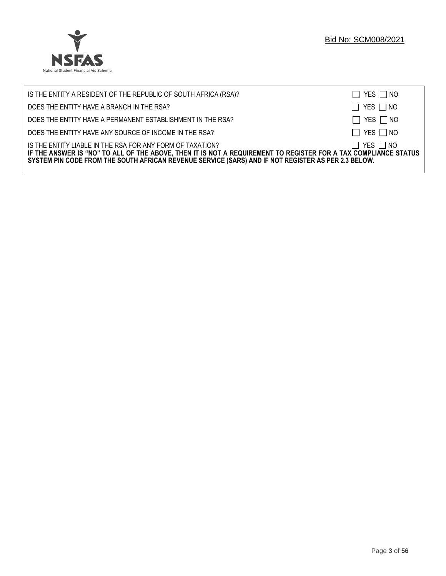

| IS THE ENTITY A RESIDENT OF THE REPUBLIC OF SOUTH AFRICA (RSA)?                                                                                                                                                                                                                     | $\Box$ YES $\Box$ NO |
|-------------------------------------------------------------------------------------------------------------------------------------------------------------------------------------------------------------------------------------------------------------------------------------|----------------------|
| DOES THE ENTITY HAVE A BRANCH IN THE RSA?                                                                                                                                                                                                                                           | $\Box$ YES $\Box$ NO |
| DOES THE ENTITY HAVE A PERMANENT ESTABLISHMENT IN THE RSA?                                                                                                                                                                                                                          | $\Box$ YES $\Box$ NO |
| DOES THE ENTITY HAVE ANY SOURCE OF INCOME IN THE RSA?                                                                                                                                                                                                                               | $\Box$ YES $\Box$ NO |
| IS THE ENTITY LIABLE IN THE RSA FOR ANY FORM OF TAXATION?<br>IF THE ANSWER IS "NO" TO ALL OF THE ABOVE, THEN IT IS NOT A REQUIREMENT TO REGISTER FOR A TAX COMPLIANCE STATUS<br>SYSTEM PIN CODE FROM THE SOUTH AFRICAN REVENUE SERVICE (SARS) AND IF NOT REGISTER AS PER 2.3 BELOW. | $\Box$ YES $\Box$ NO |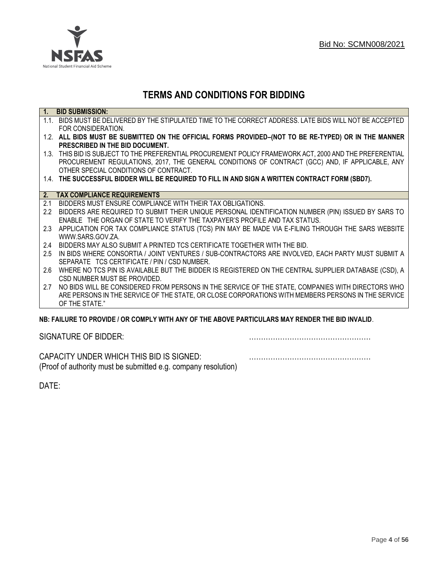

# **TERMS AND CONDITIONS FOR BIDDING**

| $\overline{1}$ . | <b>BID SUBMISSION:</b>                                                                                    |
|------------------|-----------------------------------------------------------------------------------------------------------|
|                  | 1.1. BIDS MUST BE DELIVERED BY THE STIPULATED TIME TO THE CORRECT ADDRESS. LATE BIDS WILL NOT BE ACCEPTED |
|                  | FOR CONSIDERATION.                                                                                        |
|                  | 1.2. ALL BIDS MUST BE SUBMITTED ON THE OFFICIAL FORMS PROVIDED-(NOT TO BE RE-TYPED) OR IN THE MANNER      |
|                  | PRESCRIBED IN THE BID DOCUMENT.                                                                           |
|                  | 1.3. THIS BID IS SUBJECT TO THE PREFERENTIAL PROCUREMENT POLICY FRAMEWORK ACT, 2000 AND THE PREFERENTIAL  |
|                  | PROCUREMENT REGULATIONS, 2017, THE GENERAL CONDITIONS OF CONTRACT (GCC) AND, IF APPLICABLE, ANY           |
|                  | OTHER SPECIAL CONDITIONS OF CONTRACT.                                                                     |
|                  | 1.4. THE SUCCESSFUL BIDDER WILL BE REQUIRED TO FILL IN AND SIGN A WRITTEN CONTRACT FORM (SBD7).           |
|                  |                                                                                                           |
|                  | 2. TAX COMPLIANCE REQUIREMENTS                                                                            |
| 2.1              | BIDDERS MUST ENSURE COMPLIANCE WITH THEIR TAX OBLIGATIONS.                                                |
| $2.2^{\circ}$    | BIDDERS ARE REQUIRED TO SUBMIT THEIR UNIQUE PERSONAL IDENTIFICATION NUMBER (PIN) ISSUED BY SARS TO        |
|                  | ENABLE THE ORGAN OF STATE TO VERIFY THE TAXPAYER'S PROFILE AND TAX STATUS.                                |
| 2.3              | APPLICATION FOR TAX COMPLIANCE STATUS (TCS) PIN MAY BE MADE VIA E-FILING THROUGH THE SARS WEBSITE         |
|                  | WWW.SARS.GOV.ZA.                                                                                          |
| 2.4              | BIDDERS MAY ALSO SUBMIT A PRINTED TCS CERTIFICATE TOGETHER WITH THE BID.                                  |
| 2.5              | IN BIDS WHERE CONSORTIA / JOINT VENTURES / SUB-CONTRACTORS ARE INVOLVED, EACH PARTY MUST SUBMIT A         |
|                  | SEPARATE TCS CERTIFICATE / PIN / CSD NUMBER.                                                              |
| 2.6              | WHERE NO TCS PIN IS AVAILABLE BUT THE BIDDER IS REGISTERED ON THE CENTRAL SUPPLIER DATABASE (CSD), A      |
|                  | CSD NUMBER MUST BE PROVIDED.                                                                              |
| 2.7              | NO BIDS WILL BE CONSIDERED FROM PERSONS IN THE SERVICE OF THE STATE, COMPANIES WITH DIRECTORS WHO         |
|                  | ARE PERSONS IN THE SERVICE OF THE STATE, OR CLOSE CORPORATIONS WITH MEMBERS PERSONS IN THE SERVICE        |
|                  | OF THE STATE."                                                                                            |
|                  | ND. EAILHDE TA DDAVIDE LAD AAMDI V WITH ANV AF THE ADAVE DADTIAHLADA MAV DENDED THE DID INVALID           |

# **NB: FAILURE TO PROVIDE / OR COMPLY WITH ANY OF THE ABOVE PARTICULARS MAY RENDER THE BID INVALID**.

|  | SIGNATURE OF BIDDER: |
|--|----------------------|
|--|----------------------|

SIGNATURE OF BIDDER: ……………………………………………

CAPACITY UNDER WHICH THIS BID IS SIGNED: …………………………………………… (Proof of authority must be submitted e.g. company resolution)

DATE: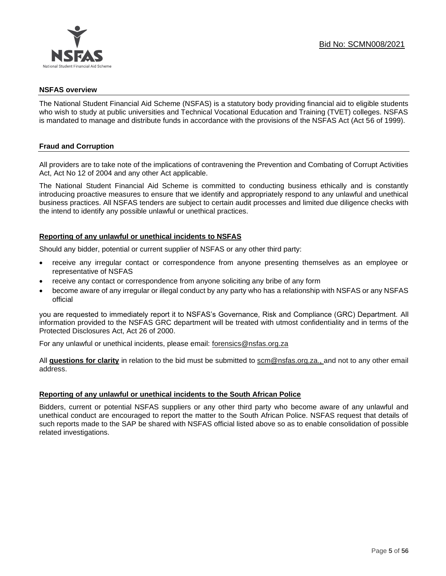

#### **NSFAS overview**

The National Student Financial Aid Scheme (NSFAS) is a statutory body providing financial aid to eligible students who wish to study at public universities and Technical Vocational Education and Training (TVET) colleges. NSFAS is mandated to manage and distribute funds in accordance with the provisions of the NSFAS Act (Act 56 of 1999).

# **Fraud and Corruption**

All providers are to take note of the implications of contravening the Prevention and Combating of Corrupt Activities Act, Act No 12 of 2004 and any other Act applicable.

The National Student Financial Aid Scheme is committed to conducting business ethically and is constantly introducing proactive measures to ensure that we identify and appropriately respond to any unlawful and unethical business practices. All NSFAS tenders are subject to certain audit processes and limited due diligence checks with the intend to identify any possible unlawful or unethical practices.

# **Reporting of any unlawful or unethical incidents to NSFAS**

Should any bidder, potential or current supplier of NSFAS or any other third party:

- receive any irregular contact or correspondence from anyone presenting themselves as an employee or representative of NSFAS
- receive any contact or correspondence from anyone soliciting any bribe of any form
- become aware of any irregular or illegal conduct by any party who has a relationship with NSFAS or any NSFAS official

you are requested to immediately report it to NSFAS's Governance, Risk and Compliance (GRC) Department. All information provided to the NSFAS GRC department will be treated with utmost confidentiality and in terms of the Protected Disclosures Act, Act 26 of 2000.

For any unlawful or unethical incidents, please email: [forensics@nsfas.org.za](mailto:forensics@nsfas.org.za)

All **questions for clarity** in relation to the bid must be submitted to [scm@nsfas.org.za.](mailto:scm@nsfas.org.za), and not to any other email address.

# **Reporting of any unlawful or unethical incidents to the South African Police**

Bidders, current or potential NSFAS suppliers or any other third party who become aware of any unlawful and unethical conduct are encouraged to report the matter to the South African Police. NSFAS request that details of such reports made to the SAP be shared with NSFAS official listed above so as to enable consolidation of possible related investigations.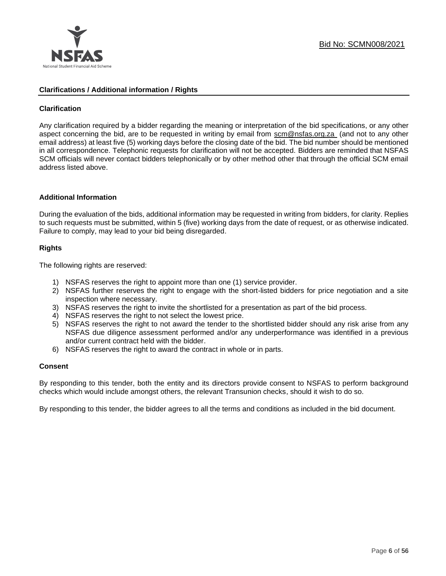

#### **Clarifications / Additional information / Rights**

# **Clarification**

Any clarification required by a bidder regarding the meaning or interpretation of the bid specifications, or any other aspect concerning the bid, are to be requested in writing by email from [scm@nsfas.org.za](mailto:scm@nsfas.org.za) (and not to any other email address) at least five (5) working days before the closing date of the bid. The bid number should be mentioned in all correspondence. Telephonic requests for clarification will not be accepted. Bidders are reminded that NSFAS SCM officials will never contact bidders telephonically or by other method other that through the official SCM email address listed above.

#### **Additional Information**

During the evaluation of the bids, additional information may be requested in writing from bidders, for clarity. Replies to such requests must be submitted, within 5 (five) working days from the date of request, or as otherwise indicated. Failure to comply, may lead to your bid being disregarded.

# **Rights**

The following rights are reserved:

- 1) NSFAS reserves the right to appoint more than one (1) service provider.
- 2) NSFAS further reserves the right to engage with the short-listed bidders for price negotiation and a site inspection where necessary.
- 3) NSFAS reserves the right to invite the shortlisted for a presentation as part of the bid process.
- 4) NSFAS reserves the right to not select the lowest price.
- 5) NSFAS reserves the right to not award the tender to the shortlisted bidder should any risk arise from any NSFAS due diligence assessment performed and/or any underperformance was identified in a previous and/or current contract held with the bidder.
- 6) NSFAS reserves the right to award the contract in whole or in parts.

#### **Consent**

By responding to this tender, both the entity and its directors provide consent to NSFAS to perform background checks which would include amongst others, the relevant Transunion checks, should it wish to do so.

By responding to this tender, the bidder agrees to all the terms and conditions as included in the bid document.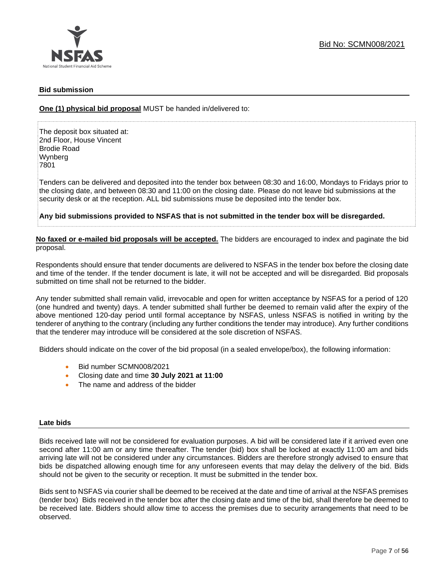

# **Bid submission**

**One (1) physical bid proposal** MUST be handed in/delivered to:

The deposit box situated at: 2nd Floor, House Vincent Brodie Road Wynberg 7801

Tenders can be delivered and deposited into the tender box between 08:30 and 16:00, Mondays to Fridays prior to the closing date, and between 08:30 and 11:00 on the closing date. Please do not leave bid submissions at the security desk or at the reception. ALL bid submissions muse be deposited into the tender box.

**Any bid submissions provided to NSFAS that is not submitted in the tender box will be disregarded.**

**No faxed or e-mailed bid proposals will be accepted.** The bidders are encouraged to index and paginate the bid proposal.

Respondents should ensure that tender documents are delivered to NSFAS in the tender box before the closing date and time of the tender. If the tender document is late, it will not be accepted and will be disregarded. Bid proposals submitted on time shall not be returned to the bidder.

Any tender submitted shall remain valid, irrevocable and open for written acceptance by NSFAS for a period of 120 (one hundred and twenty) days. A tender submitted shall further be deemed to remain valid after the expiry of the above mentioned 120-day period until formal acceptance by NSFAS, unless NSFAS is notified in writing by the tenderer of anything to the contrary (including any further conditions the tender may introduce). Any further conditions that the tenderer may introduce will be considered at the sole discretion of NSFAS.

Bidders should indicate on the cover of the bid proposal (in a sealed envelope/box), the following information:

- Bid number SCMN008/2021
- Closing date and time **30 July 2021 at 11:00**
- The name and address of the bidder

#### **Late bids**

Bids received late will not be considered for evaluation purposes. A bid will be considered late if it arrived even one second after 11:00 am or any time thereafter. The tender (bid) box shall be locked at exactly 11:00 am and bids arriving late will not be considered under any circumstances. Bidders are therefore strongly advised to ensure that bids be dispatched allowing enough time for any unforeseen events that may delay the delivery of the bid. Bids should not be given to the security or reception. It must be submitted in the tender box.

Bids sent to NSFAS via courier shall be deemed to be received at the date and time of arrival at the NSFAS premises (tender box) Bids received in the tender box after the closing date and time of the bid, shall therefore be deemed to be received late. Bidders should allow time to access the premises due to security arrangements that need to be observed.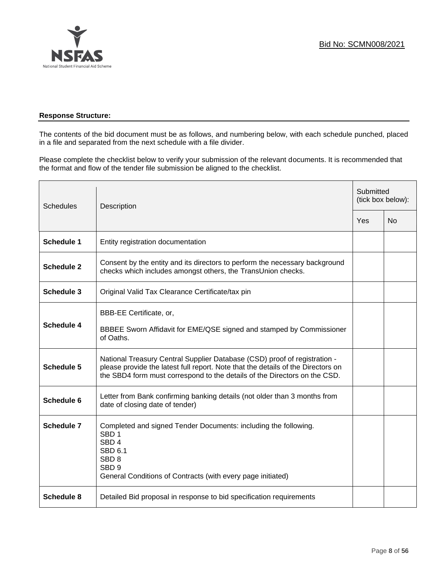

# **Response Structure:**

The contents of the bid document must be as follows, and numbering below, with each schedule punched, placed in a file and separated from the next schedule with a file divider.

Please complete the checklist below to verify your submission of the relevant documents. It is recommended that the format and flow of the tender file submission be aligned to the checklist.

| <b>Schedules</b>  | Description                                                                                                                                                                                                                                |     | Submitted<br>(tick box below): |  |
|-------------------|--------------------------------------------------------------------------------------------------------------------------------------------------------------------------------------------------------------------------------------------|-----|--------------------------------|--|
|                   |                                                                                                                                                                                                                                            | Yes | <b>No</b>                      |  |
| <b>Schedule 1</b> | Entity registration documentation                                                                                                                                                                                                          |     |                                |  |
| <b>Schedule 2</b> | Consent by the entity and its directors to perform the necessary background<br>checks which includes amongst others, the TransUnion checks.                                                                                                |     |                                |  |
| <b>Schedule 3</b> | Original Valid Tax Clearance Certificate/tax pin                                                                                                                                                                                           |     |                                |  |
| <b>Schedule 4</b> | BBB-EE Certificate, or,<br>BBBEE Sworn Affidavit for EME/QSE signed and stamped by Commissioner<br>of Oaths.                                                                                                                               |     |                                |  |
| <b>Schedule 5</b> | National Treasury Central Supplier Database (CSD) proof of registration -<br>please provide the latest full report. Note that the details of the Directors on<br>the SBD4 form must correspond to the details of the Directors on the CSD. |     |                                |  |
| Schedule 6        | Letter from Bank confirming banking details (not older than 3 months from<br>date of closing date of tender)                                                                                                                               |     |                                |  |
| <b>Schedule 7</b> | Completed and signed Tender Documents: including the following.<br>SBD <sub>1</sub><br>SBD <sub>4</sub><br><b>SBD 6.1</b><br>SBD <sub>8</sub><br>SBD <sub>9</sub><br>General Conditions of Contracts (with every page initiated)           |     |                                |  |
| <b>Schedule 8</b> | Detailed Bid proposal in response to bid specification requirements                                                                                                                                                                        |     |                                |  |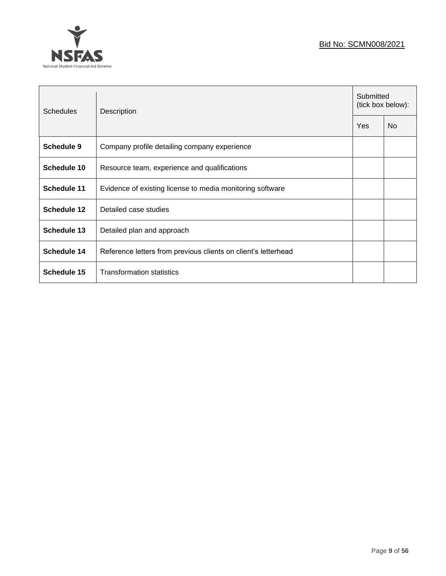# Bid No: SCMN008/2021



| <b>Schedules</b> | Description                                                    | Submitted<br>(tick box below): |                |
|------------------|----------------------------------------------------------------|--------------------------------|----------------|
|                  |                                                                |                                | N <sub>0</sub> |
| Schedule 9       | Company profile detailing company experience                   |                                |                |
| Schedule 10      | Resource team, experience and qualifications                   |                                |                |
| Schedule 11      | Evidence of existing license to media monitoring software      |                                |                |
| Schedule 12      | Detailed case studies                                          |                                |                |
| Schedule 13      | Detailed plan and approach                                     |                                |                |
| Schedule 14      | Reference letters from previous clients on client's letterhead |                                |                |
| Schedule 15      | <b>Transformation statistics</b>                               |                                |                |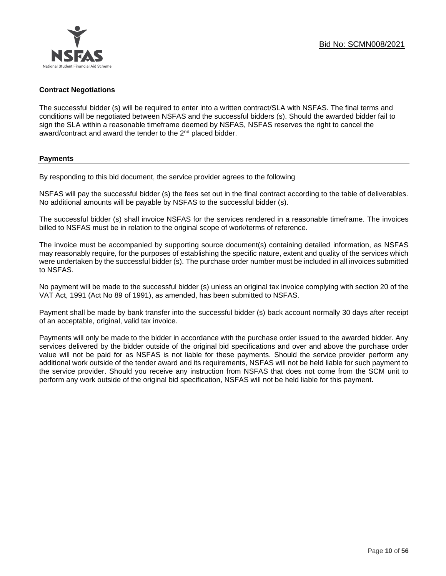# **Contract Negotiations**

The successful bidder (s) will be required to enter into a written contract/SLA with NSFAS. The final terms and conditions will be negotiated between NSFAS and the successful bidders (s). Should the awarded bidder fail to sign the SLA within a reasonable timeframe deemed by NSFAS, NSFAS reserves the right to cancel the award/contract and award the tender to the 2<sup>nd</sup> placed bidder.

# **Payments**

By responding to this bid document, the service provider agrees to the following

NSFAS will pay the successful bidder (s) the fees set out in the final contract according to the table of deliverables. No additional amounts will be payable by NSFAS to the successful bidder (s).

The successful bidder (s) shall invoice NSFAS for the services rendered in a reasonable timeframe. The invoices billed to NSFAS must be in relation to the original scope of work/terms of reference.

The invoice must be accompanied by supporting source document(s) containing detailed information, as NSFAS may reasonably require, for the purposes of establishing the specific nature, extent and quality of the services which were undertaken by the successful bidder (s). The purchase order number must be included in all invoices submitted to NSFAS.

No payment will be made to the successful bidder (s) unless an original tax invoice complying with section 20 of the VAT Act, 1991 (Act No 89 of 1991), as amended, has been submitted to NSFAS.

Payment shall be made by bank transfer into the successful bidder (s) back account normally 30 days after receipt of an acceptable, original, valid tax invoice.

Payments will only be made to the bidder in accordance with the purchase order issued to the awarded bidder. Any services delivered by the bidder outside of the original bid specifications and over and above the purchase order value will not be paid for as NSFAS is not liable for these payments. Should the service provider perform any additional work outside of the tender award and its requirements, NSFAS will not be held liable for such payment to the service provider. Should you receive any instruction from NSFAS that does not come from the SCM unit to perform any work outside of the original bid specification, NSFAS will not be held liable for this payment.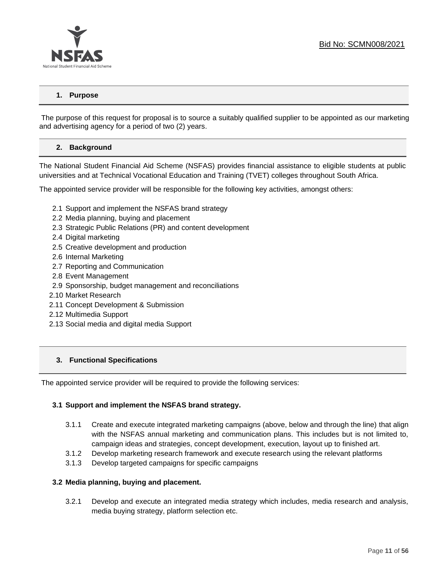

# **1. Purpose**

The purpose of this request for proposal is to source a suitably qualified supplier to be appointed as our marketing and advertising agency for a period of two (2) years.

# **2. Background**

The National Student Financial Aid Scheme (NSFAS) provides financial assistance to eligible students at public universities and at Technical Vocational Education and Training (TVET) colleges throughout South Africa.

The appointed service provider will be responsible for the following key activities, amongst others:

- 2.1 Support and implement the NSFAS brand strategy
- 2.2 Media planning, buying and placement
- 2.3 Strategic Public Relations (PR) and content development
- 2.4 Digital marketing
- 2.5 Creative development and production
- 2.6 Internal Marketing
- 2.7 Reporting and Communication
- 2.8 Event Management
- 2.9 Sponsorship, budget management and reconciliations
- 2.10 Market Research
- 2.11 Concept Development & Submission
- 2.12 Multimedia Support
- 2.13 Social media and digital media Support

# **3. Functional Specifications**

The appointed service provider will be required to provide the following services:

#### **3.1 Support and implement the NSFAS brand strategy.**

- 3.1.1 Create and execute integrated marketing campaigns (above, below and through the line) that align with the NSFAS annual marketing and communication plans. This includes but is not limited to, campaign ideas and strategies, concept development, execution, layout up to finished art.
- 3.1.2 Develop marketing research framework and execute research using the relevant platforms
- 3.1.3 Develop targeted campaigns for specific campaigns

#### **3.2 Media planning, buying and placement.**

3.2.1 Develop and execute an integrated media strategy which includes, media research and analysis, media buying strategy, platform selection etc.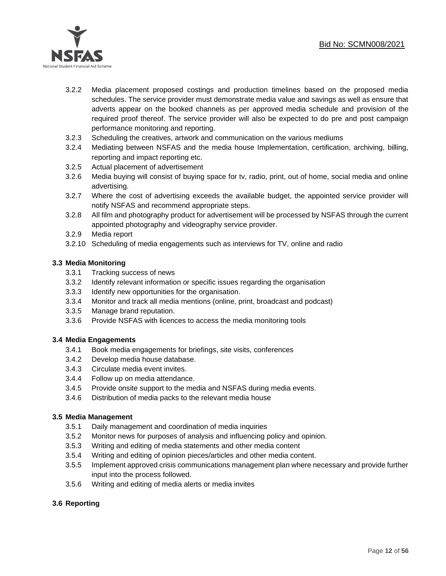

- 3.2.2 Media placement proposed costings and production timelines based on the proposed media schedules. The service provider must demonstrate media value and savings as well as ensure that adverts appear on the booked channels as per approved media schedule and provision of the required proof thereof. The service provider will also be expected to do pre and post campaign performance monitoring and reporting.
- 3.2.3 Scheduling the creatives, artwork and communication on the various mediums
- 3.2.4 Mediating between NSFAS and the media house Implementation, certification, archiving, billing, reporting and impact reporting etc.
- 3.2.5 Actual placement of advertisement
- 3.2.6 Media buying will consist of buying space for tv, radio, print, out of home, social media and online advertising.
- 3.2.7 Where the cost of advertising exceeds the available budget, the appointed service provider will notify NSFAS and recommend appropriate steps.
- 3.2.8 All film and photography product for advertisement will be processed by NSFAS through the current appointed photography and videography service provider.
- 3.2.9 Media report
- 3.2.10 Scheduling of media engagements such as interviews for TV, online and radio

# **3.3 Media Monitoring**

- 3.3.1 Tracking success of news
- 3.3.2 Identify relevant information or specific issues regarding the organisation
- 3.3.3 Identify new opportunities for the organisation.
- 3.3.4 Monitor and track all media mentions (online, print, broadcast and podcast)
- 3.3.5 Manage brand reputation.
- 3.3.6 Provide NSFAS with licences to access the media monitoring tools

#### **3.4 Media Engagements**

- 3.4.1 Book media engagements for briefings, site visits, conferences
- 3.4.2 Develop media house database.
- 3.4.3 Circulate media event invites.
- 3.4.4 Follow up on media attendance.
- 3.4.5 Provide onsite support to the media and NSFAS during media events.
- 3.4.6 Distribution of media packs to the relevant media house

# **3.5 Media Management**

- 3.5.1 Daily management and coordination of media inquiries
- 3.5.2 Monitor news for purposes of analysis and influencing policy and opinion.
- 3.5.3 Writing and editing of media statements and other media content
- 3.5.4 Writing and editing of opinion pieces/articles and other media content.
- 3.5.5 Implement approved crisis communications management plan where necessary and provide further input into the process followed.
- 3.5.6 Writing and editing of media alerts or media invites

# **3.6 Reporting**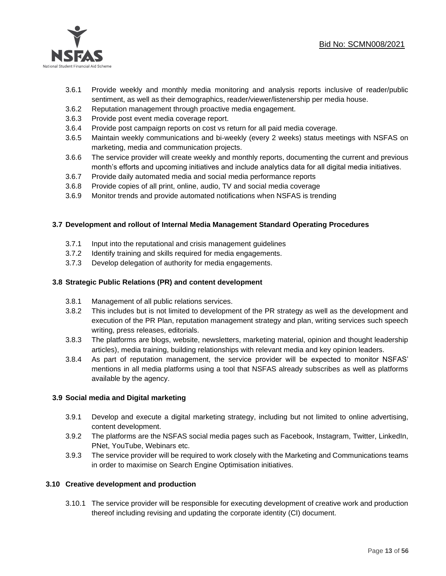

- 3.6.1 Provide weekly and monthly media monitoring and analysis reports inclusive of reader/public sentiment, as well as their demographics, reader/viewer/listenership per media house.
- 3.6.2 Reputation management through proactive media engagement.
- 3.6.3 Provide post event media coverage report.
- 3.6.4 Provide post campaign reports on cost vs return for all paid media coverage.
- 3.6.5 Maintain weekly communications and bi-weekly (every 2 weeks) status meetings with NSFAS on marketing, media and communication projects.
- 3.6.6 The service provider will create weekly and monthly reports, documenting the current and previous month's efforts and upcoming initiatives and include analytics data for all digital media initiatives.
- 3.6.7 Provide daily automated media and social media performance reports
- 3.6.8 Provide copies of all print, online, audio, TV and social media coverage
- 3.6.9 Monitor trends and provide automated notifications when NSFAS is trending

# **3.7 Development and rollout of Internal Media Management Standard Operating Procedures**

- 3.7.1 Input into the reputational and crisis management guidelines
- 3.7.2 Identify training and skills required for media engagements.
- 3.7.3 Develop delegation of authority for media engagements.

# **3.8 Strategic Public Relations (PR) and content development**

- 3.8.1 Management of all public relations services.
- 3.8.2 This includes but is not limited to development of the PR strategy as well as the development and execution of the PR Plan, reputation management strategy and plan, writing services such speech writing, press releases, editorials.
- 3.8.3 The platforms are blogs, website, newsletters, marketing material, opinion and thought leadership articles), media training, building relationships with relevant media and key opinion leaders.
- 3.8.4 As part of reputation management, the service provider will be expected to monitor NSFAS' mentions in all media platforms using a tool that NSFAS already subscribes as well as platforms available by the agency.

# **3.9 Social media and Digital marketing**

- 3.9.1 Develop and execute a digital marketing strategy, including but not limited to online advertising, content development.
- 3.9.2 The platforms are the NSFAS social media pages such as Facebook, Instagram, Twitter, LinkedIn, PNet, YouTube, Webinars etc.
- 3.9.3 The service provider will be required to work closely with the Marketing and Communications teams in order to maximise on Search Engine Optimisation initiatives.

# **3.10 Creative development and production**

3.10.1 The service provider will be responsible for executing development of creative work and production thereof including revising and updating the corporate identity (CI) document.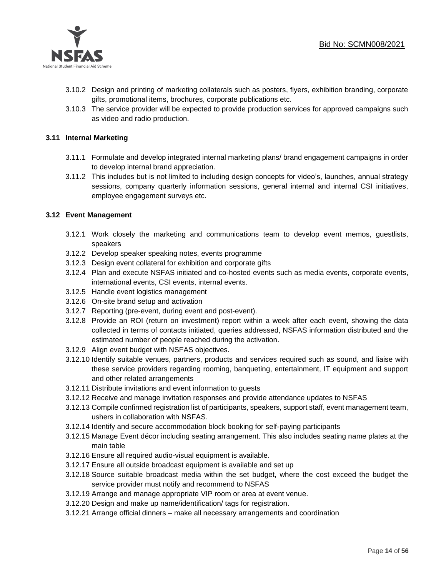

- 3.10.2 Design and printing of marketing collaterals such as posters, flyers, exhibition branding, corporate gifts, promotional items, brochures, corporate publications etc.
- 3.10.3 The service provider will be expected to provide production services for approved campaigns such as video and radio production.

# **3.11 Internal Marketing**

- 3.11.1 Formulate and develop integrated internal marketing plans/ brand engagement campaigns in order to develop internal brand appreciation.
- 3.11.2 This includes but is not limited to including design concepts for video's, launches, annual strategy sessions, company quarterly information sessions, general internal and internal CSI initiatives, employee engagement surveys etc.

# **3.12 Event Management**

- 3.12.1 Work closely the marketing and communications team to develop event memos, guestlists, speakers
- 3.12.2 Develop speaker speaking notes, events programme
- 3.12.3 Design event collateral for exhibition and corporate gifts
- 3.12.4 Plan and execute NSFAS initiated and co-hosted events such as media events, corporate events, international events, CSI events, internal events.
- 3.12.5 Handle event logistics management
- 3.12.6 On-site brand setup and activation
- 3.12.7 Reporting (pre-event, during event and post-event).
- 3.12.8 Provide an ROI (return on investment) report within a week after each event, showing the data collected in terms of contacts initiated, queries addressed, NSFAS information distributed and the estimated number of people reached during the activation.
- 3.12.9 Align event budget with NSFAS objectives.
- 3.12.10 Identify suitable venues, partners, products and services required such as sound, and liaise with these service providers regarding rooming, banqueting, entertainment, IT equipment and support and other related arrangements
- 3.12.11 Distribute invitations and event information to guests
- 3.12.12 Receive and manage invitation responses and provide attendance updates to NSFAS
- 3.12.13 Compile confirmed registration list of participants, speakers, support staff, event management team, ushers in collaboration with NSFAS.
- 3.12.14 Identify and secure accommodation block booking for self-paying participants
- 3.12.15 Manage Event décor including seating arrangement. This also includes seating name plates at the main table
- 3.12.16 Ensure all required audio-visual equipment is available.
- 3.12.17 Ensure all outside broadcast equipment is available and set up
- 3.12.18 Source suitable broadcast media within the set budget, where the cost exceed the budget the service provider must notify and recommend to NSFAS
- 3.12.19 Arrange and manage appropriate VIP room or area at event venue.
- 3.12.20 Design and make up name/identification/ tags for registration.
- 3.12.21 Arrange official dinners make all necessary arrangements and coordination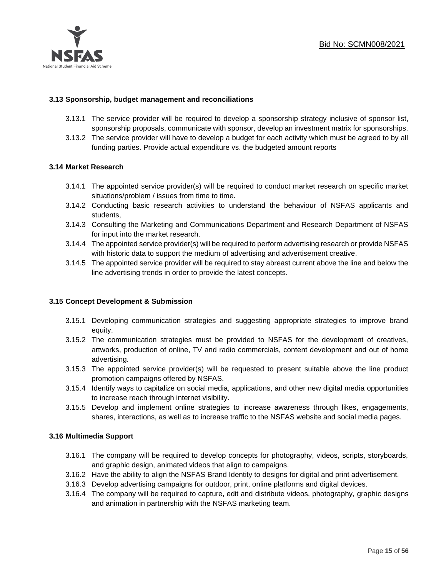

# **3.13 Sponsorship, budget management and reconciliations**

- 3.13.1 The service provider will be required to develop a sponsorship strategy inclusive of sponsor list, sponsorship proposals, communicate with sponsor, develop an investment matrix for sponsorships.
- 3.13.2 The service provider will have to develop a budget for each activity which must be agreed to by all funding parties. Provide actual expenditure vs. the budgeted amount reports

# **3.14 Market Research**

- 3.14.1 The appointed service provider(s) will be required to conduct market research on specific market situations/problem / issues from time to time.
- 3.14.2 Conducting basic research activities to understand the behaviour of NSFAS applicants and students,
- 3.14.3 Consulting the Marketing and Communications Department and Research Department of NSFAS for input into the market research.
- 3.14.4 The appointed service provider(s) will be required to perform advertising research or provide NSFAS with historic data to support the medium of advertising and advertisement creative.
- 3.14.5 The appointed service provider will be required to stay abreast current above the line and below the line advertising trends in order to provide the latest concepts.

#### **3.15 Concept Development & Submission**

- 3.15.1 Developing communication strategies and suggesting appropriate strategies to improve brand equity.
- 3.15.2 The communication strategies must be provided to NSFAS for the development of creatives, artworks, production of online, TV and radio commercials, content development and out of home advertising.
- 3.15.3 The appointed service provider(s) will be requested to present suitable above the line product promotion campaigns offered by NSFAS.
- 3.15.4 Identify ways to capitalize on social media, applications, and other new digital media opportunities to increase reach through internet visibility.
- 3.15.5 Develop and implement online strategies to increase awareness through likes, engagements, shares, interactions, as well as to increase traffic to the NSFAS website and social media pages.

#### **3.16 Multimedia Support**

- 3.16.1 The company will be required to develop concepts for photography, videos, scripts, storyboards, and graphic design, animated videos that align to campaigns.
- 3.16.2 Have the ability to align the NSFAS Brand Identity to designs for digital and print advertisement.
- 3.16.3 Develop advertising campaigns for outdoor, print, online platforms and digital devices.
- 3.16.4 The company will be required to capture, edit and distribute videos, photography, graphic designs and animation in partnership with the NSFAS marketing team.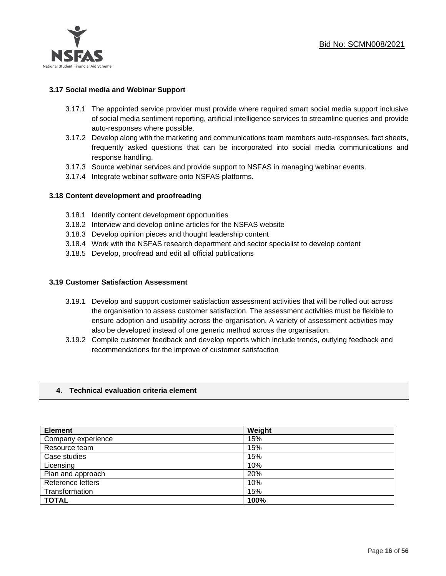

# **3.17 Social media and Webinar Support**

- 3.17.1 The appointed service provider must provide where required smart social media support inclusive of social media sentiment reporting, artificial intelligence services to streamline queries and provide auto-responses where possible.
- 3.17.2 Develop along with the marketing and communications team members auto-responses, fact sheets, frequently asked questions that can be incorporated into social media communications and response handling.
- 3.17.3 Source webinar services and provide support to NSFAS in managing webinar events.
- 3.17.4 Integrate webinar software onto NSFAS platforms.

# **3.18 Content development and proofreading**

- 3.18.1 Identify content development opportunities
- 3.18.2 Interview and develop online articles for the NSFAS website
- 3.18.3 Develop opinion pieces and thought leadership content
- 3.18.4 Work with the NSFAS research department and sector specialist to develop content
- 3.18.5 Develop, proofread and edit all official publications

# **3.19 Customer Satisfaction Assessment**

- 3.19.1 Develop and support customer satisfaction assessment activities that will be rolled out across the organisation to assess customer satisfaction. The assessment activities must be flexible to ensure adoption and usability across the organisation. A variety of assessment activities may also be developed instead of one generic method across the organisation.
- 3.19.2 Compile customer feedback and develop reports which include trends, outlying feedback and recommendations for the improve of customer satisfaction

# **4. Technical evaluation criteria element**

| <b>Element</b>     | Weight |
|--------------------|--------|
| Company experience | 15%    |
| Resource team      | 15%    |
| Case studies       | 15%    |
| Licensing          | 10%    |
| Plan and approach  | 20%    |
| Reference letters  | 10%    |
| Transformation     | 15%    |
| <b>TOTAL</b>       | 100%   |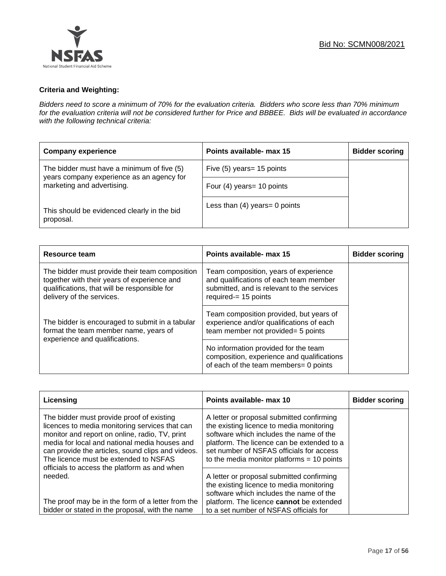

# **Criteria and Weighting:**

*Bidders need to score a minimum of 70% for the evaluation criteria. Bidders who score less than 70% minimum for the evaluation criteria will not be considered further for Price and BBBEE. Bids will be evaluated in accordance with the following technical criteria:*

| <b>Company experience</b>                                                               | Points available- max 15        | <b>Bidder scoring</b> |
|-----------------------------------------------------------------------------------------|---------------------------------|-----------------------|
| The bidder must have a minimum of five (5)<br>years company experience as an agency for | Five (5) years = 15 points      |                       |
| marketing and advertising.                                                              | Four $(4)$ years= 10 points     |                       |
| This should be evidenced clearly in the bid<br>proposal.                                | Less than $(4)$ years= 0 points |                       |

| Resource team                                                                                                                                                              | Points available- max 15                                                                                                                              | <b>Bidder scoring</b> |
|----------------------------------------------------------------------------------------------------------------------------------------------------------------------------|-------------------------------------------------------------------------------------------------------------------------------------------------------|-----------------------|
| The bidder must provide their team composition<br>together with their years of experience and<br>qualifications, that will be responsible for<br>delivery of the services. | Team composition, years of experience<br>and qualifications of each team member<br>submitted, and is relevant to the services<br>required-= 15 points |                       |
| The bidder is encouraged to submit in a tabular<br>format the team member name, years of<br>experience and qualifications.                                                 | Team composition provided, but years of<br>experience and/or qualifications of each<br>team member not provided= 5 points                             |                       |
|                                                                                                                                                                            | No information provided for the team<br>composition, experience and qualifications<br>of each of the team members= 0 points                           |                       |

| Licensing                                                                                                                                                                                                                                                                                                                                    | Points available- max 10                                                                                                                                                                                                                                                   | <b>Bidder scoring</b> |
|----------------------------------------------------------------------------------------------------------------------------------------------------------------------------------------------------------------------------------------------------------------------------------------------------------------------------------------------|----------------------------------------------------------------------------------------------------------------------------------------------------------------------------------------------------------------------------------------------------------------------------|-----------------------|
| The bidder must provide proof of existing<br>licences to media monitoring services that can<br>monitor and report on online, radio, TV, print<br>media for local and national media houses and<br>can provide the articles, sound clips and videos.<br>The licence must be extended to NSFAS<br>officials to access the platform as and when | A letter or proposal submitted confirming<br>the existing licence to media monitoring<br>software which includes the name of the<br>platform. The licence can be extended to a<br>set number of NSFAS officials for access<br>to the media monitor platforms $=$ 10 points |                       |
| needed.<br>The proof may be in the form of a letter from the<br>bidder or stated in the proposal, with the name                                                                                                                                                                                                                              | A letter or proposal submitted confirming<br>the existing licence to media monitoring<br>software which includes the name of the<br>platform. The licence cannot be extended<br>to a set number of NSFAS officials for                                                     |                       |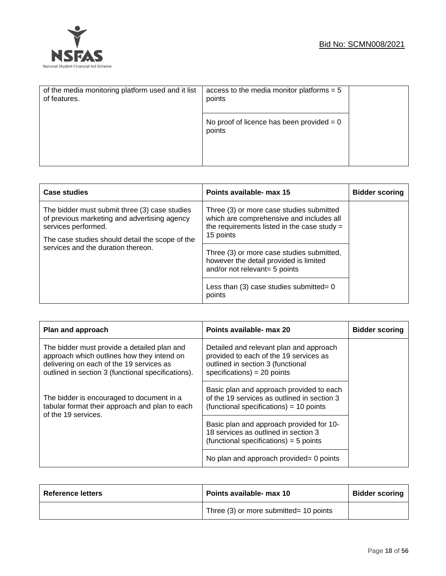

| of the media monitoring platform used and it list<br>of features. | access to the media monitor platforms $= 5$<br>points |  |
|-------------------------------------------------------------------|-------------------------------------------------------|--|
|                                                                   | No proof of licence has been provided $= 0$<br>points |  |

| <b>Case studies</b>                                                                                                                                                     | Points available- max 15                                                                                                                         | <b>Bidder scoring</b> |
|-------------------------------------------------------------------------------------------------------------------------------------------------------------------------|--------------------------------------------------------------------------------------------------------------------------------------------------|-----------------------|
| The bidder must submit three (3) case studies<br>of previous marketing and advertising agency<br>services performed.<br>The case studies should detail the scope of the | Three (3) or more case studies submitted<br>which are comprehensive and includes all<br>the requirements listed in the case study =<br>15 points |                       |
| services and the duration thereon.                                                                                                                                      | Three (3) or more case studies submitted,<br>however the detail provided is limited<br>and/or not relevant= 5 points                             |                       |
|                                                                                                                                                                         | Less than $(3)$ case studies submitted = 0<br>points                                                                                             |                       |

| Plan and approach                                                                                                                                                                           | Points available- max 20                                                                                                                                | <b>Bidder scoring</b> |
|---------------------------------------------------------------------------------------------------------------------------------------------------------------------------------------------|---------------------------------------------------------------------------------------------------------------------------------------------------------|-----------------------|
| The bidder must provide a detailed plan and<br>approach which outlines how they intend on<br>delivering on each of the 19 services as<br>outlined in section 3 (functional specifications). | Detailed and relevant plan and approach<br>provided to each of the 19 services as<br>outlined in section 3 (functional<br>specifications) = $20$ points |                       |
| The bidder is encouraged to document in a<br>tabular format their approach and plan to each<br>of the 19 services.                                                                          | Basic plan and approach provided to each<br>of the 19 services as outlined in section 3<br>$(functional specifications) = 10 points$                    |                       |
|                                                                                                                                                                                             | Basic plan and approach provided for 10-<br>18 services as outlined in section 3<br>$(functional specifications) = 5 points$                            |                       |
|                                                                                                                                                                                             | No plan and approach provided= 0 points                                                                                                                 |                       |

| <b>Reference letters</b> | Points available- max 10               | <b>Bidder scoring</b> |
|--------------------------|----------------------------------------|-----------------------|
|                          | Three (3) or more submitted= 10 points |                       |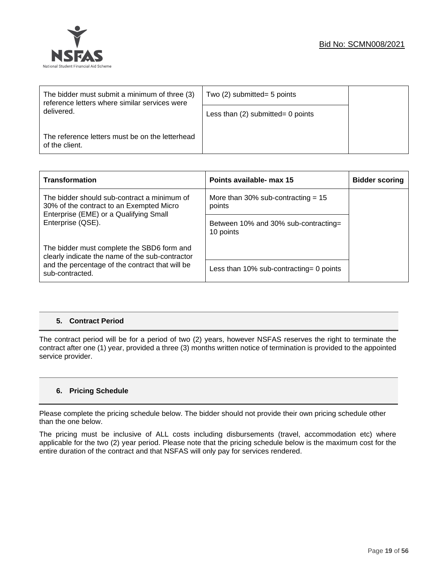

| The bidder must submit a minimum of three (3)<br>reference letters where similar services were | Two (2) submitted = 5 points         |  |
|------------------------------------------------------------------------------------------------|--------------------------------------|--|
| delivered.                                                                                     | Less than $(2)$ submitted = 0 points |  |
| The reference letters must be on the letterhead<br>of the client.                              |                                      |  |

| <b>Transformation</b>                                                                                                             | Points available- max 15                          | <b>Bidder scoring</b> |
|-----------------------------------------------------------------------------------------------------------------------------------|---------------------------------------------------|-----------------------|
| The bidder should sub-contract a minimum of<br>30% of the contract to an Exempted Micro<br>Enterprise (EME) or a Qualifying Small | More than 30% sub-contracting $= 15$<br>points    |                       |
| Enterprise (QSE).                                                                                                                 | Between 10% and 30% sub-contracting=<br>10 points |                       |
| The bidder must complete the SBD6 form and<br>clearly indicate the name of the sub-contractor                                     |                                                   |                       |
| and the percentage of the contract that will be<br>sub-contracted.                                                                | Less than 10% sub-contracting = 0 points          |                       |

# **5. Contract Period**

The contract period will be for a period of two (2) years, however NSFAS reserves the right to terminate the contract after one (1) year, provided a three (3) months written notice of termination is provided to the appointed service provider.

# **6. Pricing Schedule**

Please complete the pricing schedule below. The bidder should not provide their own pricing schedule other than the one below.

The pricing must be inclusive of ALL costs including disbursements (travel, accommodation etc) where applicable for the two (2) year period. Please note that the pricing schedule below is the maximum cost for the entire duration of the contract and that NSFAS will only pay for services rendered.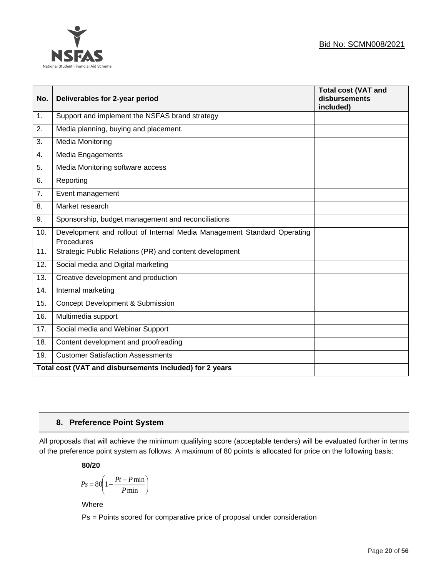

| No. | Deliverables for 2-year period                                                        | <b>Total cost (VAT and</b><br>disbursements<br>included) |
|-----|---------------------------------------------------------------------------------------|----------------------------------------------------------|
| 1.  | Support and implement the NSFAS brand strategy                                        |                                                          |
| 2.  | Media planning, buying and placement.                                                 |                                                          |
| 3.  | <b>Media Monitoring</b>                                                               |                                                          |
| 4.  | Media Engagements                                                                     |                                                          |
| 5.  | Media Monitoring software access                                                      |                                                          |
| 6.  | Reporting                                                                             |                                                          |
| 7.  | Event management                                                                      |                                                          |
| 8.  | Market research                                                                       |                                                          |
| 9.  | Sponsorship, budget management and reconciliations                                    |                                                          |
| 10. | Development and rollout of Internal Media Management Standard Operating<br>Procedures |                                                          |
| 11. | Strategic Public Relations (PR) and content development                               |                                                          |
| 12. | Social media and Digital marketing                                                    |                                                          |
| 13. | Creative development and production                                                   |                                                          |
| 14. | Internal marketing                                                                    |                                                          |
| 15. | <b>Concept Development &amp; Submission</b>                                           |                                                          |
| 16. | Multimedia support                                                                    |                                                          |
| 17. | Social media and Webinar Support                                                      |                                                          |
| 18. | Content development and proofreading                                                  |                                                          |
| 19. | <b>Customer Satisfaction Assessments</b>                                              |                                                          |
|     | Total cost (VAT and disbursements included) for 2 years                               |                                                          |

# **8. Preference Point System**

All proposals that will achieve the minimum qualifying score (acceptable tenders) will be evaluated further in terms of the preference point system as follows: A maximum of 80 points is allocated for price on the following basis:

**80/20**

$$
Ps = 80 \left( 1 - \frac{Pt - P \min}{P \min} \right)
$$

Where

Ps = Points scored for comparative price of proposal under consideration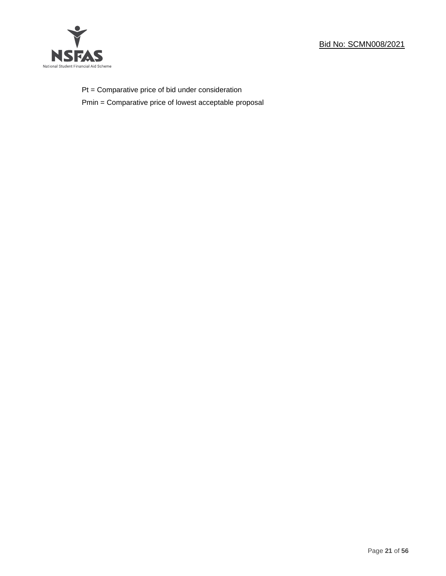

Pt = Comparative price of bid under consideration

Pmin = Comparative price of lowest acceptable proposal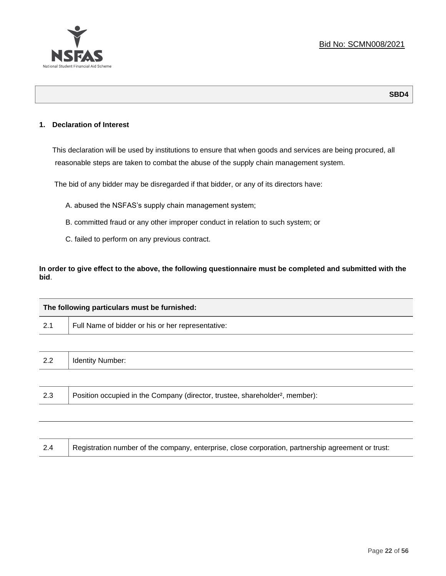

**SBD4**

# **1. Declaration of Interest**

This declaration will be used by institutions to ensure that when goods and services are being procured, all reasonable steps are taken to combat the abuse of the supply chain management system.

The bid of any bidder may be disregarded if that bidder, or any of its directors have:

- A. abused the NSFAS's supply chain management system;
- B. committed fraud or any other improper conduct in relation to such system; or
- C. failed to perform on any previous contract.

**In order to give effect to the above, the following questionnaire must be completed and submitted with the bid**.

|     | The following particulars must be furnished:                                             |  |  |
|-----|------------------------------------------------------------------------------------------|--|--|
| 2.1 | Full Name of bidder or his or her representative:                                        |  |  |
|     |                                                                                          |  |  |
| 2.2 | <b>Identity Number:</b>                                                                  |  |  |
|     |                                                                                          |  |  |
| 2.3 | Position occupied in the Company (director, trustee, shareholder <sup>2</sup> , member): |  |  |
|     |                                                                                          |  |  |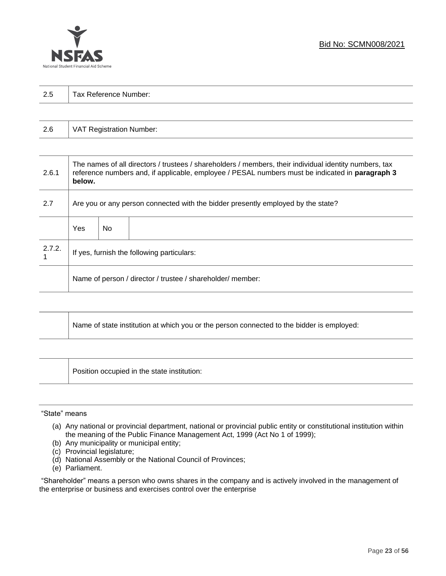

| 2.5 | Tax Reference Number: |
|-----|-----------------------|
|     |                       |

| 2.6 | VAT Registration Number: |
|-----|--------------------------|
|-----|--------------------------|

| 2.6.1  | The names of all directors / trustees / shareholders / members, their individual identity numbers, tax<br>reference numbers and, if applicable, employee / PESAL numbers must be indicated in paragraph 3<br>below. |     |  |
|--------|---------------------------------------------------------------------------------------------------------------------------------------------------------------------------------------------------------------------|-----|--|
| 2.7    | Are you or any person connected with the bidder presently employed by the state?                                                                                                                                    |     |  |
|        | Yes                                                                                                                                                                                                                 | No. |  |
| 2.7.2. | If yes, furnish the following particulars:                                                                                                                                                                          |     |  |
|        | Name of person / director / trustee / shareholder/ member:                                                                                                                                                          |     |  |

| Name of state institution at which you or the person connected to the bidder is employed: |
|-------------------------------------------------------------------------------------------|
|                                                                                           |

Position occupied in the state institution:

#### "State" means

┱

- (a) Any national or provincial department, national or provincial public entity or constitutional institution within the meaning of the Public Finance Management Act, 1999 (Act No 1 of 1999);
- (b) Any municipality or municipal entity;
- (c) Provincial legislature;
- (d) National Assembly or the National Council of Provinces;
- (e) Parliament.

"Shareholder" means a person who owns shares in the company and is actively involved in the management of the enterprise or business and exercises control over the enterprise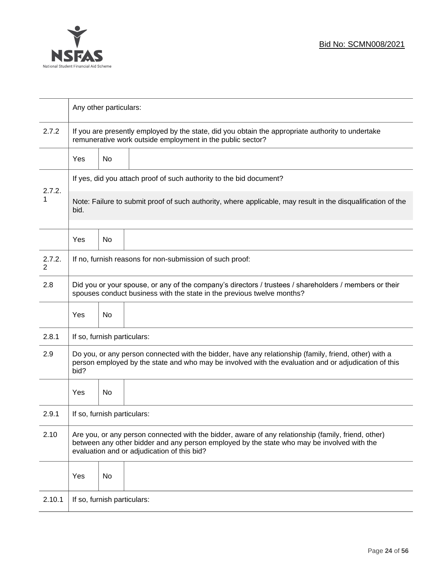

|             | Any other particulars:                                                                                                                                                                                                                           |                                                                     |                                                          |  |  |  |  |
|-------------|--------------------------------------------------------------------------------------------------------------------------------------------------------------------------------------------------------------------------------------------------|---------------------------------------------------------------------|----------------------------------------------------------|--|--|--|--|
| 2.7.2       | If you are presently employed by the state, did you obtain the appropriate authority to undertake<br>remunerative work outside employment in the public sector?                                                                                  |                                                                     |                                                          |  |  |  |  |
|             | <b>Yes</b>                                                                                                                                                                                                                                       | No                                                                  |                                                          |  |  |  |  |
|             |                                                                                                                                                                                                                                                  | If yes, did you attach proof of such authority to the bid document? |                                                          |  |  |  |  |
| 2.7.2.<br>1 | Note: Failure to submit proof of such authority, where applicable, may result in the disqualification of the<br>bid.                                                                                                                             |                                                                     |                                                          |  |  |  |  |
|             | Yes                                                                                                                                                                                                                                              | No                                                                  |                                                          |  |  |  |  |
| 2.7.2.<br>2 |                                                                                                                                                                                                                                                  |                                                                     | If no, furnish reasons for non-submission of such proof: |  |  |  |  |
| 2.8         | Did you or your spouse, or any of the company's directors / trustees / shareholders / members or their<br>spouses conduct business with the state in the previous twelve months?                                                                 |                                                                     |                                                          |  |  |  |  |
|             | Yes                                                                                                                                                                                                                                              | No                                                                  |                                                          |  |  |  |  |
| 2.8.1       | If so, furnish particulars:                                                                                                                                                                                                                      |                                                                     |                                                          |  |  |  |  |
| 2.9         | Do you, or any person connected with the bidder, have any relationship (family, friend, other) with a<br>person employed by the state and who may be involved with the evaluation and or adjudication of this<br>bid?                            |                                                                     |                                                          |  |  |  |  |
|             | Yes                                                                                                                                                                                                                                              | No                                                                  |                                                          |  |  |  |  |
| 2.9.1       | If so, furnish particulars:                                                                                                                                                                                                                      |                                                                     |                                                          |  |  |  |  |
| 2.10        | Are you, or any person connected with the bidder, aware of any relationship (family, friend, other)<br>between any other bidder and any person employed by the state who may be involved with the<br>evaluation and or adjudication of this bid? |                                                                     |                                                          |  |  |  |  |
|             | Yes                                                                                                                                                                                                                                              | No                                                                  |                                                          |  |  |  |  |
| 2.10.1      | If so, furnish particulars:                                                                                                                                                                                                                      |                                                                     |                                                          |  |  |  |  |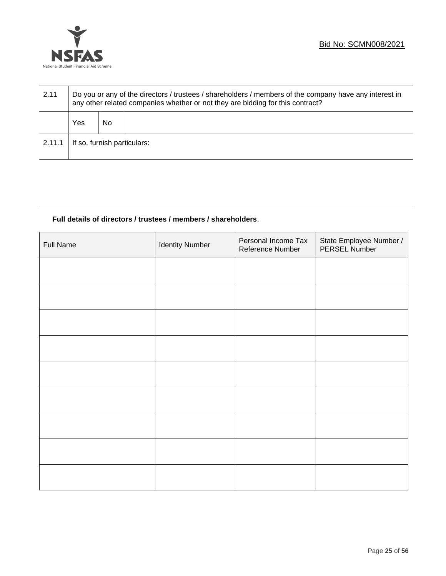

| 2.11   | Do you or any of the directors / trustees / shareholders / members of the company have any interest in<br>any other related companies whether or not they are bidding for this contract? |    |  |  |
|--------|------------------------------------------------------------------------------------------------------------------------------------------------------------------------------------------|----|--|--|
|        | Yes                                                                                                                                                                                      | No |  |  |
| 2.11.1 | If so, furnish particulars:                                                                                                                                                              |    |  |  |

# **Full details of directors / trustees / members / shareholders**.

| <b>Full Name</b> | <b>Identity Number</b> | Personal Income Tax<br>Reference Number | State Employee Number /<br>PERSEL Number |
|------------------|------------------------|-----------------------------------------|------------------------------------------|
|                  |                        |                                         |                                          |
|                  |                        |                                         |                                          |
|                  |                        |                                         |                                          |
|                  |                        |                                         |                                          |
|                  |                        |                                         |                                          |
|                  |                        |                                         |                                          |
|                  |                        |                                         |                                          |
|                  |                        |                                         |                                          |
|                  |                        |                                         |                                          |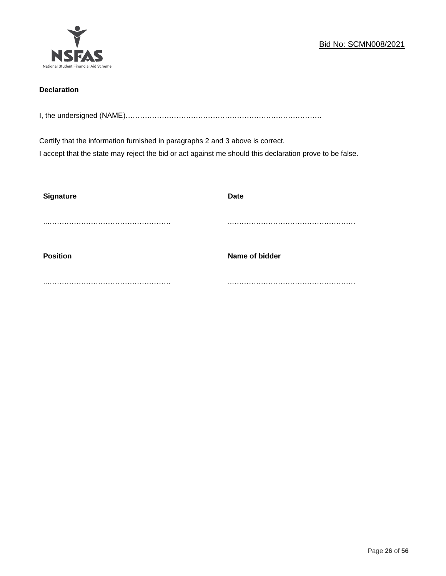

# **Declaration**

I, the undersigned (NAME)………………………………………………………………………

Certify that the information furnished in paragraphs 2 and 3 above is correct. I accept that the state may reject the bid or act against me should this declaration prove to be false.

| <b>Signature</b> | <b>Date</b>    |
|------------------|----------------|
|                  |                |
| <b>Position</b>  | Name of bidder |
|                  |                |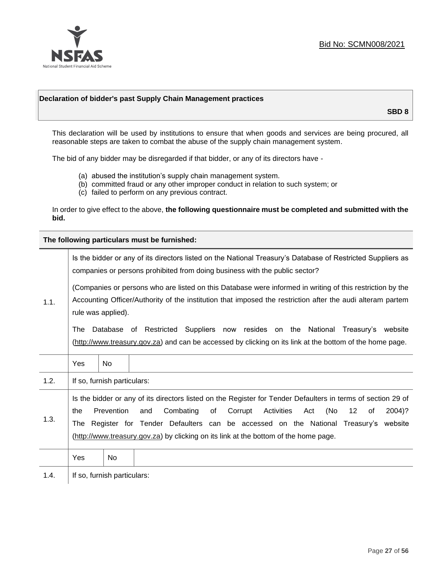

# **Declaration of bidder's past Supply Chain Management practices**

**SBD 8**

This declaration will be used by institutions to ensure that when goods and services are being procured, all reasonable steps are taken to combat the abuse of the supply chain management system.

The bid of any bidder may be disregarded if that bidder, or any of its directors have -

- (a) abused the institution's supply chain management system.
- (b) committed fraud or any other improper conduct in relation to such system; or
- (c) failed to perform on any previous contract.

In order to give effect to the above, **the following questionnaire must be completed and submitted with the bid.**

**The following particulars must be furnished:**

| 1.1. | Is the bidder or any of its directors listed on the National Treasury's Database of Restricted Suppliers as<br>companies or persons prohibited from doing business with the public sector?                                                                                                                                                                                                                |                             |                                                                                                                                                                                                |  |  |
|------|-----------------------------------------------------------------------------------------------------------------------------------------------------------------------------------------------------------------------------------------------------------------------------------------------------------------------------------------------------------------------------------------------------------|-----------------------------|------------------------------------------------------------------------------------------------------------------------------------------------------------------------------------------------|--|--|
|      | (Companies or persons who are listed on this Database were informed in writing of this restriction by the<br>Accounting Officer/Authority of the institution that imposed the restriction after the audi alteram partem<br>rule was applied).                                                                                                                                                             |                             |                                                                                                                                                                                                |  |  |
|      | The                                                                                                                                                                                                                                                                                                                                                                                                       |                             | Database of Restricted Suppliers now resides on the National<br>Treasury's website<br>(http://www.treasury.gov.za) and can be accessed by clicking on its link at the bottom of the home page. |  |  |
|      | Yes                                                                                                                                                                                                                                                                                                                                                                                                       | <b>No</b>                   |                                                                                                                                                                                                |  |  |
| 1.2. |                                                                                                                                                                                                                                                                                                                                                                                                           | If so, furnish particulars: |                                                                                                                                                                                                |  |  |
| 1.3. | Is the bidder or any of its directors listed on the Register for Tender Defaulters in terms of section 29 of<br>Prevention<br>Activities<br>(No<br>Combating<br>of<br>Corrupt<br>12<br>2004)?<br>the<br>and<br>Act<br>of<br>The Register for Tender Defaulters can be accessed on the National Treasury's website<br>(http://www.treasury.gov.za) by clicking on its link at the bottom of the home page. |                             |                                                                                                                                                                                                |  |  |
|      | Yes                                                                                                                                                                                                                                                                                                                                                                                                       | No.                         |                                                                                                                                                                                                |  |  |
| 1.4. |                                                                                                                                                                                                                                                                                                                                                                                                           | If so, furnish particulars: |                                                                                                                                                                                                |  |  |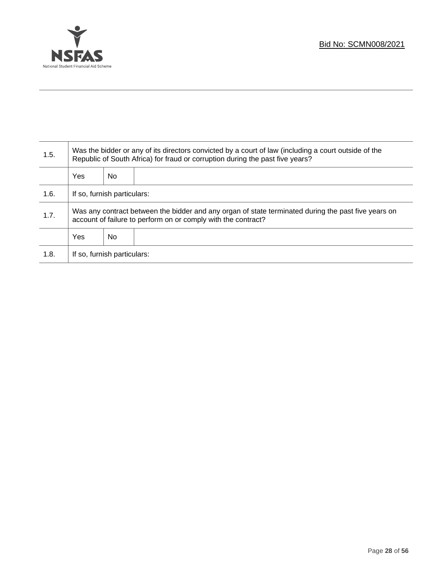

T

| 1.5. | Was the bidder or any of its directors convicted by a court of law (including a court outside of the<br>Republic of South Africa) for fraud or corruption during the past five years? |    |  |  |
|------|---------------------------------------------------------------------------------------------------------------------------------------------------------------------------------------|----|--|--|
|      | <b>Yes</b>                                                                                                                                                                            | No |  |  |
| 1.6. | If so, furnish particulars:                                                                                                                                                           |    |  |  |
| 1.7. | Was any contract between the bidder and any organ of state terminated during the past five years on<br>account of failure to perform on or comply with the contract?                  |    |  |  |
|      | <b>Yes</b>                                                                                                                                                                            | No |  |  |
| 1.8. | If so, furnish particulars:                                                                                                                                                           |    |  |  |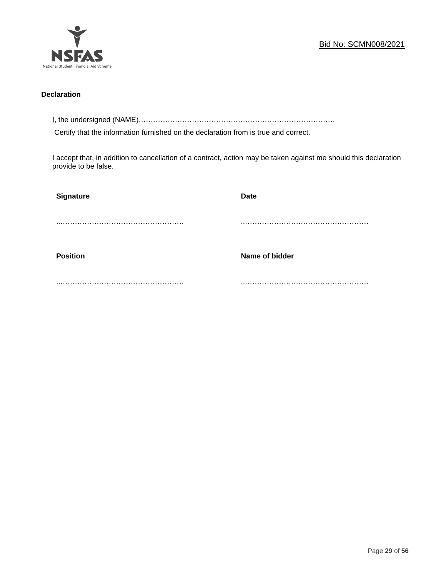

# **Declaration**

I, the undersigned (NAME)………………………………………………………………………

Certify that the information furnished on the declaration from is true and correct.

I accept that, in addition to cancellation of a contract, action may be taken against me should this declaration provide to be false.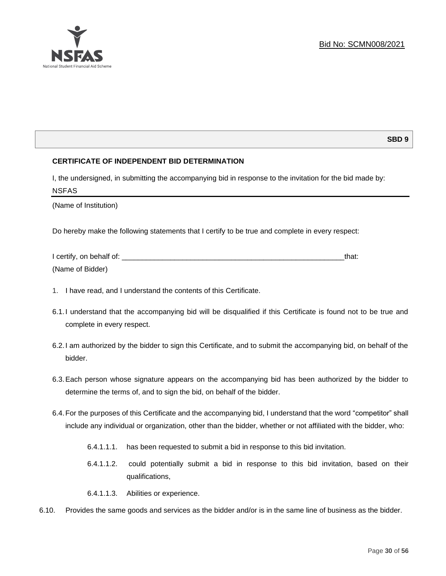

# **SBD 9**

# **CERTIFICATE OF INDEPENDENT BID DETERMINATION**

I, the undersigned, in submitting the accompanying bid in response to the invitation for the bid made by: NSFAS

(Name of Institution)

Do hereby make the following statements that I certify to be true and complete in every respect:

| I certify, on behalf of: |  |
|--------------------------|--|
| (Name of Bidder)         |  |

- 1. I have read, and I understand the contents of this Certificate.
- 6.1.I understand that the accompanying bid will be disqualified if this Certificate is found not to be true and complete in every respect.
- 6.2.I am authorized by the bidder to sign this Certificate, and to submit the accompanying bid, on behalf of the bidder.
- 6.3.Each person whose signature appears on the accompanying bid has been authorized by the bidder to determine the terms of, and to sign the bid, on behalf of the bidder.
- 6.4.For the purposes of this Certificate and the accompanying bid, I understand that the word "competitor" shall include any individual or organization, other than the bidder, whether or not affiliated with the bidder, who:
	- 6.4.1.1.1. has been requested to submit a bid in response to this bid invitation.
	- 6.4.1.1.2. could potentially submit a bid in response to this bid invitation, based on their qualifications,
	- 6.4.1.1.3. Abilities or experience.
- 6.10. Provides the same goods and services as the bidder and/or is in the same line of business as the bidder.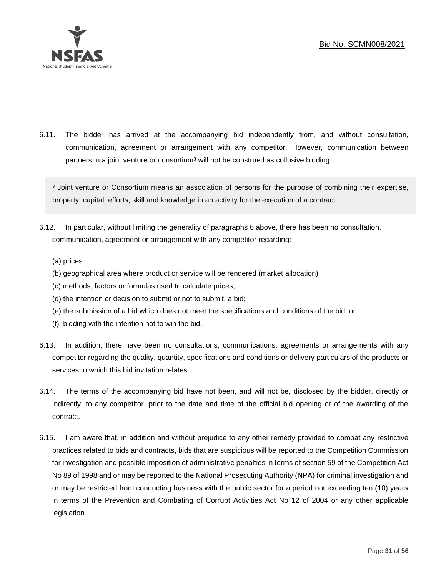

6.11. The bidder has arrived at the accompanying bid independently from, and without consultation, communication, agreement or arrangement with any competitor. However, communication between partners in a joint venture or consortium<sup>3</sup> will not be construed as collusive bidding.

<sup>3</sup> Joint venture or Consortium means an association of persons for the purpose of combining their expertise, property, capital, efforts, skill and knowledge in an activity for the execution of a contract.

- 6.12. In particular, without limiting the generality of paragraphs 6 above, there has been no consultation, communication, agreement or arrangement with any competitor regarding:
	- (a) prices
	- (b) geographical area where product or service will be rendered (market allocation)
	- (c) methods, factors or formulas used to calculate prices;
	- (d) the intention or decision to submit or not to submit, a bid;
	- (e) the submission of a bid which does not meet the specifications and conditions of the bid; or
	- (f) bidding with the intention not to win the bid.
- 6.13. In addition, there have been no consultations, communications, agreements or arrangements with any competitor regarding the quality, quantity, specifications and conditions or delivery particulars of the products or services to which this bid invitation relates.
- 6.14. The terms of the accompanying bid have not been, and will not be, disclosed by the bidder, directly or indirectly, to any competitor, prior to the date and time of the official bid opening or of the awarding of the contract.
- 6.15. I am aware that, in addition and without prejudice to any other remedy provided to combat any restrictive practices related to bids and contracts, bids that are suspicious will be reported to the Competition Commission for investigation and possible imposition of administrative penalties in terms of section 59 of the Competition Act No 89 of 1998 and or may be reported to the National Prosecuting Authority (NPA) for criminal investigation and or may be restricted from conducting business with the public sector for a period not exceeding ten (10) years in terms of the Prevention and Combating of Corrupt Activities Act No 12 of 2004 or any other applicable legislation.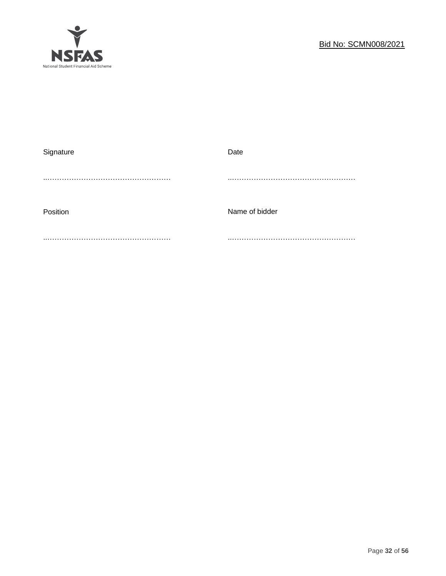

| Signature | Date           |
|-----------|----------------|
|           |                |
|           |                |
|           |                |
| Position  | Name of bidder |
|           |                |
|           |                |
|           |                |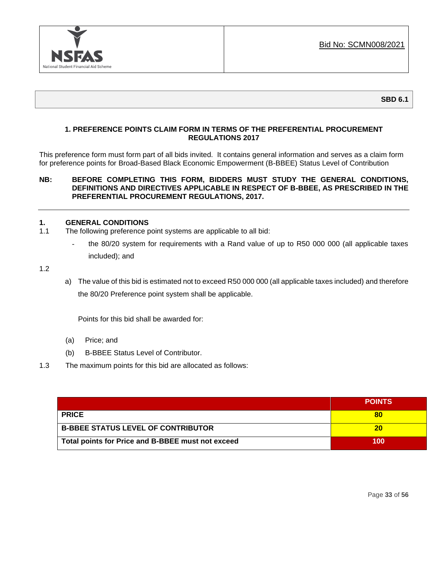

# **1. PREFERENCE POINTS CLAIM FORM IN TERMS OF THE PREFERENTIAL PROCUREMENT REGULATIONS 2017**

This preference form must form part of all bids invited. It contains general information and serves as a claim form for preference points for Broad-Based Black Economic Empowerment (B-BBEE) Status Level of Contribution

# **NB: BEFORE COMPLETING THIS FORM, BIDDERS MUST STUDY THE GENERAL CONDITIONS, DEFINITIONS AND DIRECTIVES APPLICABLE IN RESPECT OF B-BBEE, AS PRESCRIBED IN THE PREFERENTIAL PROCUREMENT REGULATIONS, 2017.**

# **1. GENERAL CONDITIONS**

- 1.1 The following preference point systems are applicable to all bid:
	- the 80/20 system for requirements with a Rand value of up to R50 000 000 (all applicable taxes included); and

1.2

a) The value of this bid is estimated not to exceed R50 000 000 (all applicable taxes included) and therefore the 80/20 Preference point system shall be applicable.

Points for this bid shall be awarded for:

- (a) Price; and
- (b) B-BBEE Status Level of Contributor.
- 1.3 The maximum points for this bid are allocated as follows:

|                                                   | <b>POINTS</b> |
|---------------------------------------------------|---------------|
| <b>PRICE</b>                                      | 80            |
| <b>B-BBEE STATUS LEVEL OF CONTRIBUTOR</b>         | 20            |
| Total points for Price and B-BBEE must not exceed | 100           |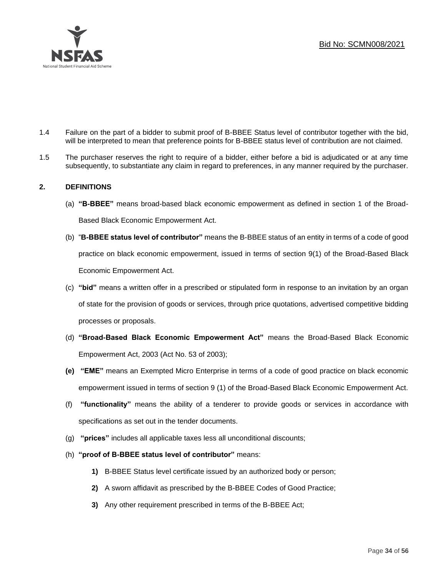

- 1.4 Failure on the part of a bidder to submit proof of B-BBEE Status level of contributor together with the bid, will be interpreted to mean that preference points for B-BBEE status level of contribution are not claimed.
- 1.5 The purchaser reserves the right to require of a bidder, either before a bid is adjudicated or at any time subsequently, to substantiate any claim in regard to preferences, in any manner required by the purchaser.

# **2. DEFINITIONS**

- (a) **"B-BBEE"** means broad-based black economic empowerment as defined in section 1 of the Broad-Based Black Economic Empowerment Act.
- (b) "**B-BBEE status level of contributor"** means the B-BBEE status of an entity in terms of a code of good practice on black economic empowerment, issued in terms of section 9(1) of the Broad-Based Black Economic Empowerment Act.
- (c) **"bid"** means a written offer in a prescribed or stipulated form in response to an invitation by an organ of state for the provision of goods or services, through price quotations, advertised competitive bidding processes or proposals.
- (d) **"Broad-Based Black Economic Empowerment Act"** means the Broad-Based Black Economic Empowerment Act, 2003 (Act No. 53 of 2003);
- **(e) "EME"** means an Exempted Micro Enterprise in terms of a code of good practice on black economic empowerment issued in terms of section 9 (1) of the Broad-Based Black Economic Empowerment Act.
- (f) **"functionality"** means the ability of a tenderer to provide goods or services in accordance with specifications as set out in the tender documents.
- (g) **"prices"** includes all applicable taxes less all unconditional discounts;
- (h) **"proof of B-BBEE status level of contributor"** means:
	- **1)** B-BBEE Status level certificate issued by an authorized body or person;
	- **2)** A sworn affidavit as prescribed by the B-BBEE Codes of Good Practice;
	- **3)** Any other requirement prescribed in terms of the B-BBEE Act;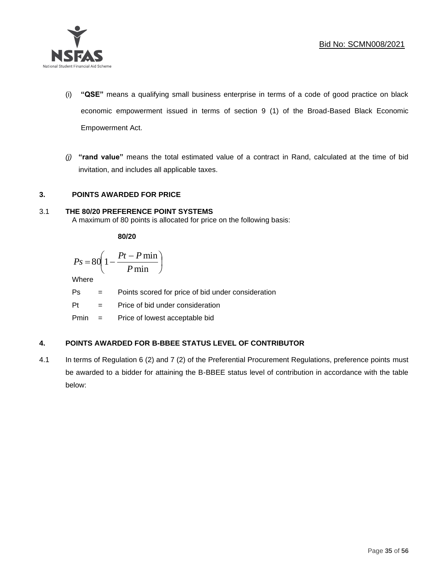

- (i) **"QSE"** means a qualifying small business enterprise in terms of a code of good practice on black economic empowerment issued in terms of section 9 (1) of the Broad-Based Black Economic Empowerment Act.
- *(j)* **"rand value"** means the total estimated value of a contract in Rand, calculated at the time of bid invitation, and includes all applicable taxes.

# **3. POINTS AWARDED FOR PRICE**

# 3.1 **THE 80/20 PREFERENCE POINT SYSTEMS**

A maximum of 80 points is allocated for price on the following basis:

**80/20**

$$
Ps = 80 \left( 1 - \frac{Pt - P \min}{P \min} \right)
$$

Where

Ps = Points scored for price of bid under consideration

l

Pt = Price of bid under consideration

Pmin = Price of lowest acceptable bid

# **4. POINTS AWARDED FOR B-BBEE STATUS LEVEL OF CONTRIBUTOR**

4.1 In terms of Regulation 6 (2) and 7 (2) of the Preferential Procurement Regulations, preference points must be awarded to a bidder for attaining the B-BBEE status level of contribution in accordance with the table below: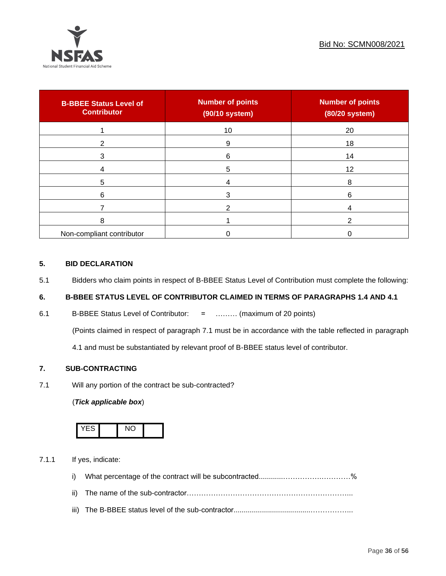

| <b>B-BBEE Status Level of</b><br><b>Contributor</b> | <b>Number of points</b><br>(90/10 system) | <b>Number of points</b><br>(80/20 system) |
|-----------------------------------------------------|-------------------------------------------|-------------------------------------------|
|                                                     | 10                                        | 20                                        |
| 2                                                   | 9                                         | 18                                        |
| 3                                                   | 6                                         | 14                                        |
|                                                     | 5                                         | 12                                        |
| 5                                                   |                                           | 8                                         |
| 6                                                   |                                           | 6                                         |
|                                                     |                                           |                                           |
| 8                                                   |                                           | ົ                                         |
| Non-compliant contributor                           |                                           |                                           |

# **5. BID DECLARATION**

5.1 Bidders who claim points in respect of B-BBEE Status Level of Contribution must complete the following:

# **6. B-BBEE STATUS LEVEL OF CONTRIBUTOR CLAIMED IN TERMS OF PARAGRAPHS 1.4 AND 4.1**

6.1 B-BBEE Status Level of Contributor: = ……… (maximum of 20 points)

(Points claimed in respect of paragraph 7.1 must be in accordance with the table reflected in paragraph

4.1 and must be substantiated by relevant proof of B-BBEE status level of contributor.

# **7. SUB-CONTRACTING**

7.1 Will any portion of the contract be sub-contracted?

#### (*Tick applicable box*)



7.1.1 If yes, indicate:

- i) What percentage of the contract will be subcontracted............…………….…………%
- ii) The name of the sub-contractor…………………………………………………………...
- iii) The B-BBEE status level of the sub-contractor......................................……………...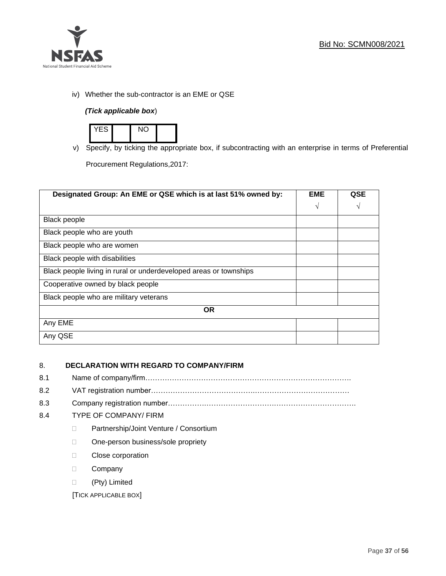

iv) Whether the sub-contractor is an EME or QSE

# *(Tick applicable box*)



v) Specify, by ticking the appropriate box, if subcontracting with an enterprise in terms of Preferential

Procurement Regulations,2017:

| Designated Group: An EME or QSE which is at last 51% owned by:    | <b>EME</b> | QSE |
|-------------------------------------------------------------------|------------|-----|
|                                                                   | $\sqrt{ }$ | V   |
| <b>Black people</b>                                               |            |     |
| Black people who are youth                                        |            |     |
| Black people who are women                                        |            |     |
| Black people with disabilities                                    |            |     |
| Black people living in rural or underdeveloped areas or townships |            |     |
| Cooperative owned by black people                                 |            |     |
| Black people who are military veterans                            |            |     |
| <b>OR</b>                                                         |            |     |
| Any EME                                                           |            |     |
| Any QSE                                                           |            |     |

# 8. **DECLARATION WITH REGARD TO COMPANY/FIRM**

- 8.1 Name of company/firm………………………………………………………………………….
- 8.2 VAT registration number…………………………………….…………………………………
- 8.3 Company registration number…………….……………………….…………………………….

# 8.4 TYPE OF COMPANY/ FIRM

- D Partnership/Joint Venture / Consortium
- □ One-person business/sole propriety
- D Close corporation
- D Company
- (Pty) Limited

[TICK APPLICABLE BOX]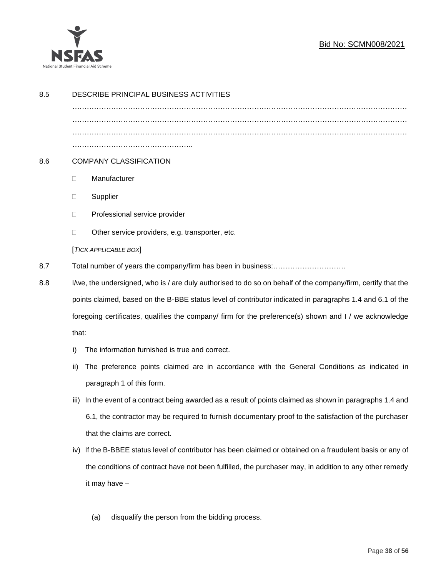

# Bid No: SCMN008/2021

| 8.5 |                                                                                                              | DESCRIBE PRINCIPAL BUSINESS ACTIVITIES                                                                 |  |
|-----|--------------------------------------------------------------------------------------------------------------|--------------------------------------------------------------------------------------------------------|--|
|     |                                                                                                              |                                                                                                        |  |
|     |                                                                                                              |                                                                                                        |  |
|     |                                                                                                              |                                                                                                        |  |
| 8.6 | <b>COMPANY CLASSIFICATION</b>                                                                                |                                                                                                        |  |
|     | $\Box$                                                                                                       | Manufacturer                                                                                           |  |
|     | $\Box$                                                                                                       | Supplier                                                                                               |  |
|     | $\Box$                                                                                                       | Professional service provider                                                                          |  |
|     | □                                                                                                            | Other service providers, e.g. transporter, etc.                                                        |  |
|     | [TICK APPLICABLE BOX]                                                                                        |                                                                                                        |  |
| 8.7 |                                                                                                              |                                                                                                        |  |
| 8.8 | I/we, the undersigned, who is / are duly authorised to do so on behalf of the company/firm, certify that the |                                                                                                        |  |
|     | points claimed, based on the B-BBE status level of contributor indicated in paragraphs 1.4 and 6.1 of the    |                                                                                                        |  |
|     |                                                                                                              | foregoing certificates, qualifies the company/ firm for the preference(s) shown and I / we acknowledge |  |
|     | that:                                                                                                        |                                                                                                        |  |
|     | i)                                                                                                           | The information furnished is true and correct.                                                         |  |
|     | ii)                                                                                                          | The preference points claimed are in accordance with the General Conditions as indicated in            |  |
|     |                                                                                                              | paragraph 1 of this form.                                                                              |  |
|     | iii)                                                                                                         | In the event of a contract being awarded as a result of points claimed as shown in paragraphs 1.4 and  |  |
|     |                                                                                                              | 6.1, the contractor may be required to furnish documentary proof to the satisfaction of the purchaser  |  |
|     |                                                                                                              | that the claims are correct.                                                                           |  |
|     | iv)                                                                                                          | If the B-BBEE status level of contributor has been claimed or obtained on a fraudulent basis or any of |  |
|     |                                                                                                              | the conditions of contract have not been fulfilled, the purchaser may, in addition to any other remedy |  |
|     |                                                                                                              | it may have -                                                                                          |  |
|     |                                                                                                              |                                                                                                        |  |
|     |                                                                                                              | disqualify the person from the bidding process.<br>(a)                                                 |  |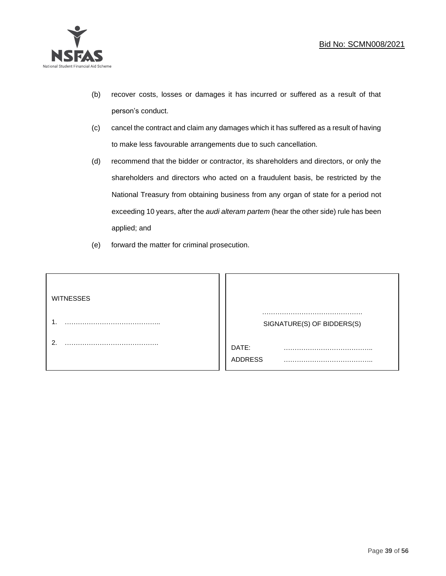

- (b) recover costs, losses or damages it has incurred or suffered as a result of that person's conduct.
- (c) cancel the contract and claim any damages which it has suffered as a result of having to make less favourable arrangements due to such cancellation.
- (d) recommend that the bidder or contractor, its shareholders and directors, or only the shareholders and directors who acted on a fraudulent basis, be restricted by the National Treasury from obtaining business from any organ of state for a period not exceeding 10 years, after the *audi alteram partem* (hear the other side) rule has been applied; and
- (e) forward the matter for criminal prosecution.

| <b>WITNESSES</b> |                              |
|------------------|------------------------------|
|                  | SIGNATURE(S) OF BIDDERS(S)   |
|                  | DATE:<br>.<br><b>ADDRESS</b> |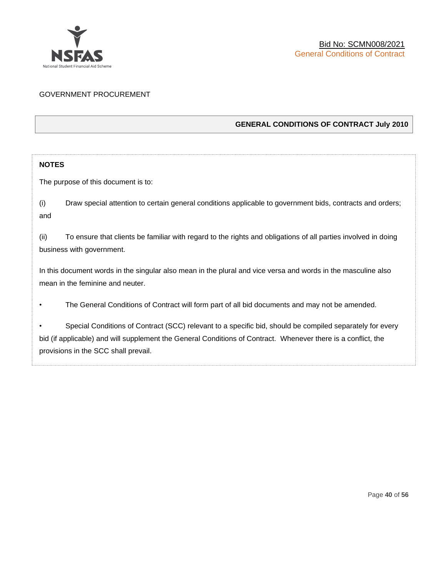

# GOVERNMENT PROCUREMENT

# **GENERAL CONDITIONS OF CONTRACT July 2010**

# **NOTES**

The purpose of this document is to:

(i) Draw special attention to certain general conditions applicable to government bids, contracts and orders; and

(ii) To ensure that clients be familiar with regard to the rights and obligations of all parties involved in doing business with government.

In this document words in the singular also mean in the plural and vice versa and words in the masculine also mean in the feminine and neuter.

• The General Conditions of Contract will form part of all bid documents and may not be amended.

Special Conditions of Contract (SCC) relevant to a specific bid, should be compiled separately for every bid (if applicable) and will supplement the General Conditions of Contract. Whenever there is a conflict, the provisions in the SCC shall prevail.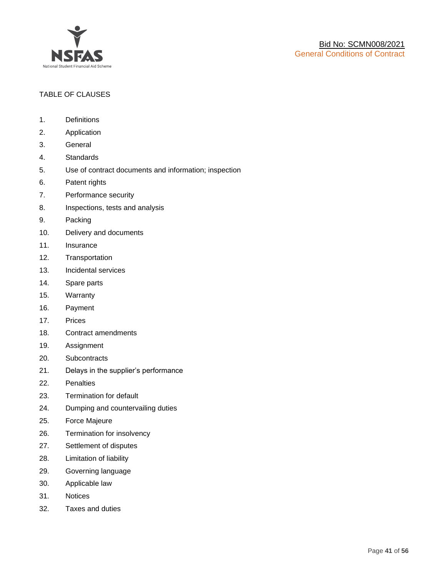

# TABLE OF CLAUSES

- 1. Definitions
- 2. Application
- 3. General
- 4. Standards
- 5. Use of contract documents and information; inspection
- 6. Patent rights
- 7. Performance security
- 8. Inspections, tests and analysis
- 9. Packing
- 10. Delivery and documents
- 11. Insurance
- 12. Transportation
- 13. Incidental services
- 14. Spare parts
- 15. Warranty
- 16. Payment
- 17. Prices
- 18. Contract amendments
- 19. Assignment
- 20. Subcontracts
- 21. Delays in the supplier's performance
- 22. Penalties
- 23. Termination for default
- 24. Dumping and countervailing duties
- 25. Force Majeure
- 26. Termination for insolvency
- 27. Settlement of disputes
- 28. Limitation of liability
- 29. Governing language
- 30. Applicable law
- 31. Notices
- 32. Taxes and duties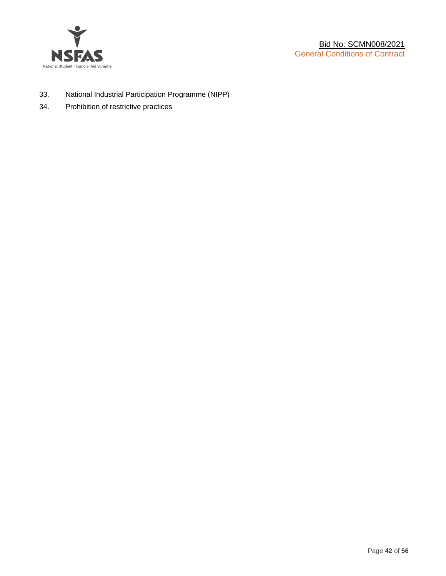

- 33. National Industrial Participation Programme (NIPP)
- 34. Prohibition of restrictive practices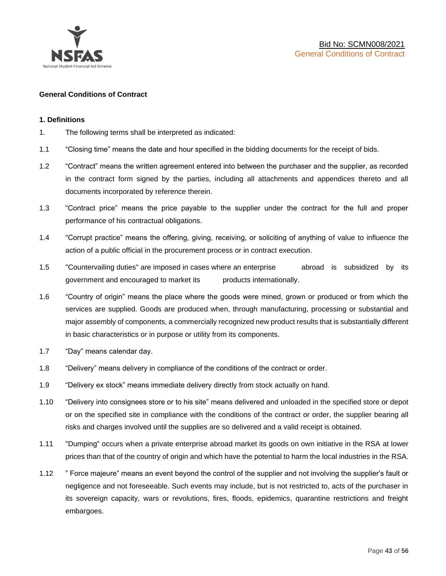

#### **General Conditions of Contract**

#### **1. Definitions**

- 1. The following terms shall be interpreted as indicated:
- 1.1 "Closing time" means the date and hour specified in the bidding documents for the receipt of bids.
- 1.2 "Contract" means the written agreement entered into between the purchaser and the supplier, as recorded in the contract form signed by the parties, including all attachments and appendices thereto and all documents incorporated by reference therein.
- 1.3 "Contract price" means the price payable to the supplier under the contract for the full and proper performance of his contractual obligations.
- 1.4 "Corrupt practice" means the offering, giving, receiving, or soliciting of anything of value to influence the action of a public official in the procurement process or in contract execution.
- 1.5 "Countervailing duties" are imposed in cases where an enterprise abroad is subsidized by its government and encouraged to market its products internationally.
- 1.6 "Country of origin" means the place where the goods were mined, grown or produced or from which the services are supplied. Goods are produced when, through manufacturing, processing or substantial and major assembly of components, a commercially recognized new product results that is substantially different in basic characteristics or in purpose or utility from its components.
- 1.7 "Day" means calendar day.
- 1.8 "Delivery" means delivery in compliance of the conditions of the contract or order.
- 1.9 "Delivery ex stock" means immediate delivery directly from stock actually on hand.
- 1.10 "Delivery into consignees store or to his site" means delivered and unloaded in the specified store or depot or on the specified site in compliance with the conditions of the contract or order, the supplier bearing all risks and charges involved until the supplies are so delivered and a valid receipt is obtained.
- 1.11 "Dumping" occurs when a private enterprise abroad market its goods on own initiative in the RSA at lower prices than that of the country of origin and which have the potential to harm the local industries in the RSA.
- 1.12 " Force majeure" means an event beyond the control of the supplier and not involving the supplier's fault or negligence and not foreseeable. Such events may include, but is not restricted to, acts of the purchaser in its sovereign capacity, wars or revolutions, fires, floods, epidemics, quarantine restrictions and freight embargoes.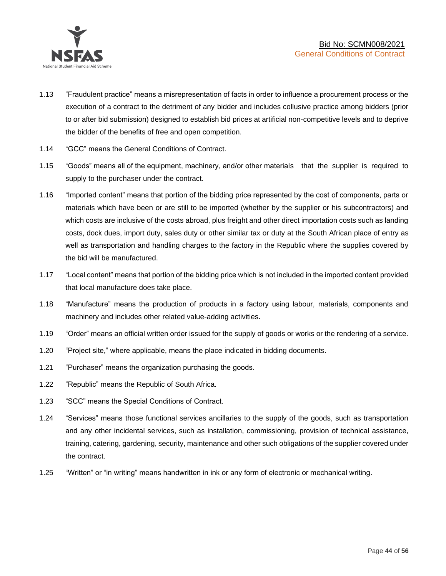

- 1.13 "Fraudulent practice" means a misrepresentation of facts in order to influence a procurement process or the execution of a contract to the detriment of any bidder and includes collusive practice among bidders (prior to or after bid submission) designed to establish bid prices at artificial non-competitive levels and to deprive the bidder of the benefits of free and open competition.
- 1.14 "GCC" means the General Conditions of Contract.
- 1.15 "Goods" means all of the equipment, machinery, and/or other materials that the supplier is required to supply to the purchaser under the contract.
- 1.16 "Imported content" means that portion of the bidding price represented by the cost of components, parts or materials which have been or are still to be imported (whether by the supplier or his subcontractors) and which costs are inclusive of the costs abroad, plus freight and other direct importation costs such as landing costs, dock dues, import duty, sales duty or other similar tax or duty at the South African place of entry as well as transportation and handling charges to the factory in the Republic where the supplies covered by the bid will be manufactured.
- 1.17 "Local content" means that portion of the bidding price which is not included in the imported content provided that local manufacture does take place.
- 1.18 "Manufacture" means the production of products in a factory using labour, materials, components and machinery and includes other related value-adding activities.
- 1.19 "Order" means an official written order issued for the supply of goods or works or the rendering of a service.
- 1.20 "Project site," where applicable, means the place indicated in bidding documents.
- 1.21 "Purchaser" means the organization purchasing the goods.
- 1.22 "Republic" means the Republic of South Africa.
- 1.23 "SCC" means the Special Conditions of Contract.
- 1.24 "Services" means those functional services ancillaries to the supply of the goods, such as transportation and any other incidental services, such as installation, commissioning, provision of technical assistance, training, catering, gardening, security, maintenance and other such obligations of the supplier covered under the contract.
- 1.25 "Written" or "in writing" means handwritten in ink or any form of electronic or mechanical writing.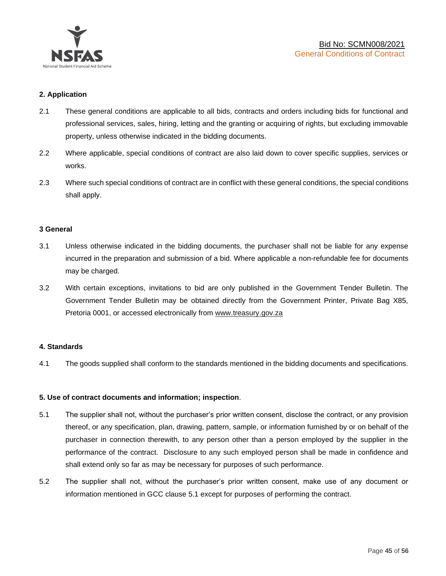

# **2. Application**

- 2.1 These general conditions are applicable to all bids, contracts and orders including bids for functional and professional services, sales, hiring, letting and the granting or acquiring of rights, but excluding immovable property, unless otherwise indicated in the bidding documents.
- 2.2 Where applicable, special conditions of contract are also laid down to cover specific supplies, services or works.
- 2.3 Where such special conditions of contract are in conflict with these general conditions, the special conditions shall apply.

#### **3 General**

- 3.1 Unless otherwise indicated in the bidding documents, the purchaser shall not be liable for any expense incurred in the preparation and submission of a bid. Where applicable a non-refundable fee for documents may be charged.
- 3.2 With certain exceptions, invitations to bid are only published in the Government Tender Bulletin. The Government Tender Bulletin may be obtained directly from the Government Printer, Private Bag X85, Pretoria 0001, or accessed electronically from [www.treasury.gov.za](http://www.treasury.gov.za/)

#### **4. Standards**

4.1 The goods supplied shall conform to the standards mentioned in the bidding documents and specifications.

#### **5. Use of contract documents and information; inspection**.

- 5.1 The supplier shall not, without the purchaser's prior written consent, disclose the contract, or any provision thereof, or any specification, plan, drawing, pattern, sample, or information furnished by or on behalf of the purchaser in connection therewith, to any person other than a person employed by the supplier in the performance of the contract. Disclosure to any such employed person shall be made in confidence and shall extend only so far as may be necessary for purposes of such performance.
- 5.2 The supplier shall not, without the purchaser's prior written consent, make use of any document or information mentioned in GCC clause 5.1 except for purposes of performing the contract.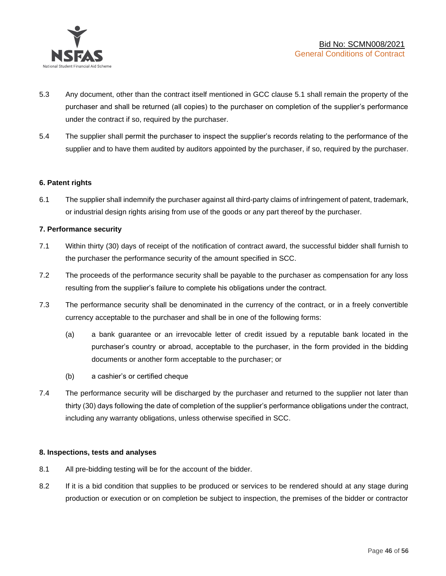

- 5.3 Any document, other than the contract itself mentioned in GCC clause 5.1 shall remain the property of the purchaser and shall be returned (all copies) to the purchaser on completion of the supplier's performance under the contract if so, required by the purchaser.
- 5.4 The supplier shall permit the purchaser to inspect the supplier's records relating to the performance of the supplier and to have them audited by auditors appointed by the purchaser, if so, required by the purchaser.

#### **6. Patent rights**

6.1 The supplier shall indemnify the purchaser against all third-party claims of infringement of patent, trademark, or industrial design rights arising from use of the goods or any part thereof by the purchaser.

# **7. Performance security**

- 7.1 Within thirty (30) days of receipt of the notification of contract award, the successful bidder shall furnish to the purchaser the performance security of the amount specified in SCC.
- 7.2 The proceeds of the performance security shall be payable to the purchaser as compensation for any loss resulting from the supplier's failure to complete his obligations under the contract.
- 7.3 The performance security shall be denominated in the currency of the contract, or in a freely convertible currency acceptable to the purchaser and shall be in one of the following forms:
	- (a) a bank guarantee or an irrevocable letter of credit issued by a reputable bank located in the purchaser's country or abroad, acceptable to the purchaser, in the form provided in the bidding documents or another form acceptable to the purchaser; or
	- (b) a cashier's or certified cheque
- 7.4 The performance security will be discharged by the purchaser and returned to the supplier not later than thirty (30) days following the date of completion of the supplier's performance obligations under the contract, including any warranty obligations, unless otherwise specified in SCC.

#### **8. Inspections, tests and analyses**

- 8.1 All pre-bidding testing will be for the account of the bidder.
- 8.2 If it is a bid condition that supplies to be produced or services to be rendered should at any stage during production or execution or on completion be subject to inspection, the premises of the bidder or contractor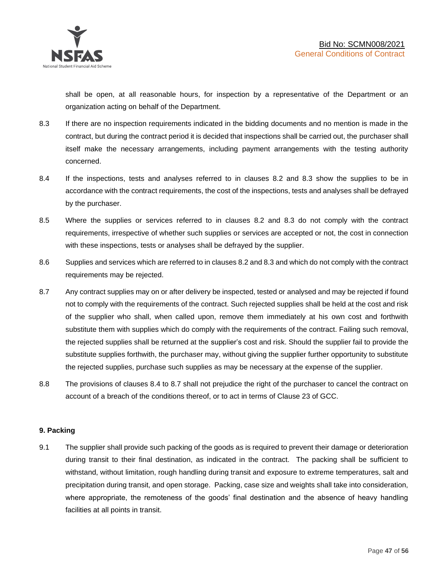shall be open, at all reasonable hours, for inspection by a representative of the Department or an organization acting on behalf of the Department.

- 8.3 If there are no inspection requirements indicated in the bidding documents and no mention is made in the contract, but during the contract period it is decided that inspections shall be carried out, the purchaser shall itself make the necessary arrangements, including payment arrangements with the testing authority concerned.
- 8.4 If the inspections, tests and analyses referred to in clauses 8.2 and 8.3 show the supplies to be in accordance with the contract requirements, the cost of the inspections, tests and analyses shall be defrayed by the purchaser.
- 8.5 Where the supplies or services referred to in clauses 8.2 and 8.3 do not comply with the contract requirements, irrespective of whether such supplies or services are accepted or not, the cost in connection with these inspections, tests or analyses shall be defrayed by the supplier.
- 8.6 Supplies and services which are referred to in clauses 8.2 and 8.3 and which do not comply with the contract requirements may be rejected.
- 8.7 Any contract supplies may on or after delivery be inspected, tested or analysed and may be rejected if found not to comply with the requirements of the contract. Such rejected supplies shall be held at the cost and risk of the supplier who shall, when called upon, remove them immediately at his own cost and forthwith substitute them with supplies which do comply with the requirements of the contract. Failing such removal, the rejected supplies shall be returned at the supplier's cost and risk. Should the supplier fail to provide the substitute supplies forthwith, the purchaser may, without giving the supplier further opportunity to substitute the rejected supplies, purchase such supplies as may be necessary at the expense of the supplier.
- 8.8 The provisions of clauses 8.4 to 8.7 shall not prejudice the right of the purchaser to cancel the contract on account of a breach of the conditions thereof, or to act in terms of Clause 23 of GCC.

# **9. Packing**

9.1 The supplier shall provide such packing of the goods as is required to prevent their damage or deterioration during transit to their final destination, as indicated in the contract. The packing shall be sufficient to withstand, without limitation, rough handling during transit and exposure to extreme temperatures, salt and precipitation during transit, and open storage. Packing, case size and weights shall take into consideration, where appropriate, the remoteness of the goods' final destination and the absence of heavy handling facilities at all points in transit.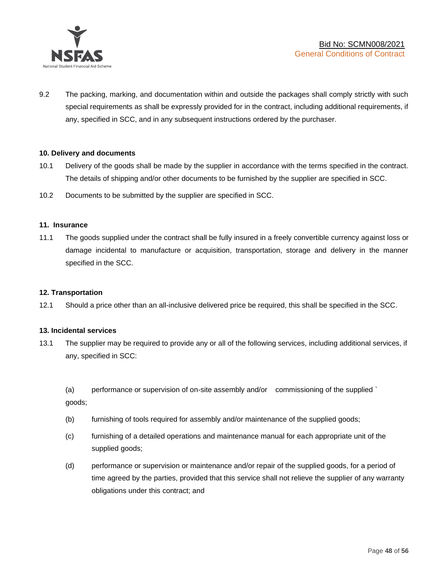

9.2 The packing, marking, and documentation within and outside the packages shall comply strictly with such special requirements as shall be expressly provided for in the contract, including additional requirements, if any, specified in SCC, and in any subsequent instructions ordered by the purchaser.

#### **10. Delivery and documents**

- 10.1 Delivery of the goods shall be made by the supplier in accordance with the terms specified in the contract. The details of shipping and/or other documents to be furnished by the supplier are specified in SCC.
- 10.2 Documents to be submitted by the supplier are specified in SCC.

#### **11. Insurance**

11.1 The goods supplied under the contract shall be fully insured in a freely convertible currency against loss or damage incidental to manufacture or acquisition, transportation, storage and delivery in the manner specified in the SCC.

#### **12. Transportation**

12.1 Should a price other than an all-inclusive delivered price be required, this shall be specified in the SCC.

#### **13. Incidental services**

13.1 The supplier may be required to provide any or all of the following services, including additional services, if any, specified in SCC:

(a) performance or supervision of on-site assembly and/or commissioning of the supplied ` goods;

- (b) furnishing of tools required for assembly and/or maintenance of the supplied goods;
- (c) furnishing of a detailed operations and maintenance manual for each appropriate unit of the supplied goods;
- (d) performance or supervision or maintenance and/or repair of the supplied goods, for a period of time agreed by the parties, provided that this service shall not relieve the supplier of any warranty obligations under this contract; and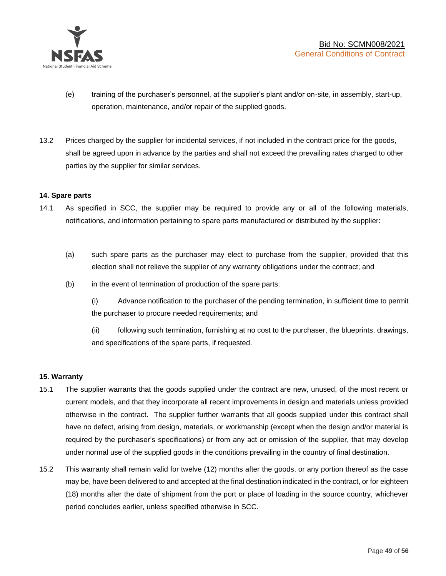

- (e) training of the purchaser's personnel, at the supplier's plant and/or on-site, in assembly, start-up, operation, maintenance, and/or repair of the supplied goods.
- 13.2 Prices charged by the supplier for incidental services, if not included in the contract price for the goods, shall be agreed upon in advance by the parties and shall not exceed the prevailing rates charged to other parties by the supplier for similar services.

# **14. Spare parts**

- 14.1 As specified in SCC, the supplier may be required to provide any or all of the following materials, notifications, and information pertaining to spare parts manufactured or distributed by the supplier:
	- (a) such spare parts as the purchaser may elect to purchase from the supplier, provided that this election shall not relieve the supplier of any warranty obligations under the contract; and
	- (b) in the event of termination of production of the spare parts:

(i) Advance notification to the purchaser of the pending termination, in sufficient time to permit the purchaser to procure needed requirements; and

(ii) following such termination, furnishing at no cost to the purchaser, the blueprints, drawings, and specifications of the spare parts, if requested.

#### **15. Warranty**

- 15.1 The supplier warrants that the goods supplied under the contract are new, unused, of the most recent or current models, and that they incorporate all recent improvements in design and materials unless provided otherwise in the contract. The supplier further warrants that all goods supplied under this contract shall have no defect, arising from design, materials, or workmanship (except when the design and/or material is required by the purchaser's specifications) or from any act or omission of the supplier, that may develop under normal use of the supplied goods in the conditions prevailing in the country of final destination.
- 15.2 This warranty shall remain valid for twelve (12) months after the goods, or any portion thereof as the case may be, have been delivered to and accepted at the final destination indicated in the contract, or for eighteen (18) months after the date of shipment from the port or place of loading in the source country, whichever period concludes earlier, unless specified otherwise in SCC.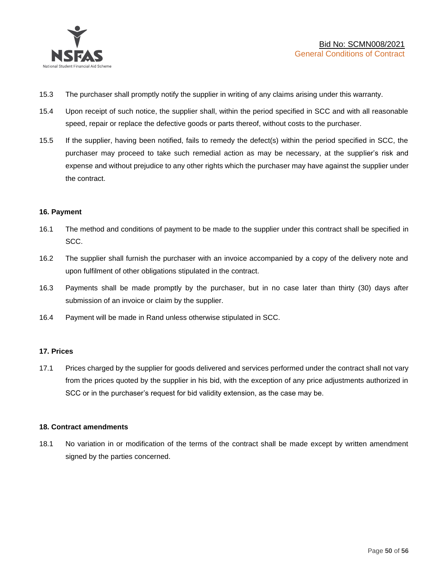

- 15.3 The purchaser shall promptly notify the supplier in writing of any claims arising under this warranty.
- 15.4 Upon receipt of such notice, the supplier shall, within the period specified in SCC and with all reasonable speed, repair or replace the defective goods or parts thereof, without costs to the purchaser.
- 15.5 If the supplier, having been notified, fails to remedy the defect(s) within the period specified in SCC, the purchaser may proceed to take such remedial action as may be necessary, at the supplier's risk and expense and without prejudice to any other rights which the purchaser may have against the supplier under the contract.

# **16. Payment**

- 16.1 The method and conditions of payment to be made to the supplier under this contract shall be specified in SCC.
- 16.2 The supplier shall furnish the purchaser with an invoice accompanied by a copy of the delivery note and upon fulfilment of other obligations stipulated in the contract.
- 16.3 Payments shall be made promptly by the purchaser, but in no case later than thirty (30) days after submission of an invoice or claim by the supplier.
- 16.4 Payment will be made in Rand unless otherwise stipulated in SCC.

#### **17. Prices**

17.1 Prices charged by the supplier for goods delivered and services performed under the contract shall not vary from the prices quoted by the supplier in his bid, with the exception of any price adjustments authorized in SCC or in the purchaser's request for bid validity extension, as the case may be.

#### **18. Contract amendments**

18.1 No variation in or modification of the terms of the contract shall be made except by written amendment signed by the parties concerned.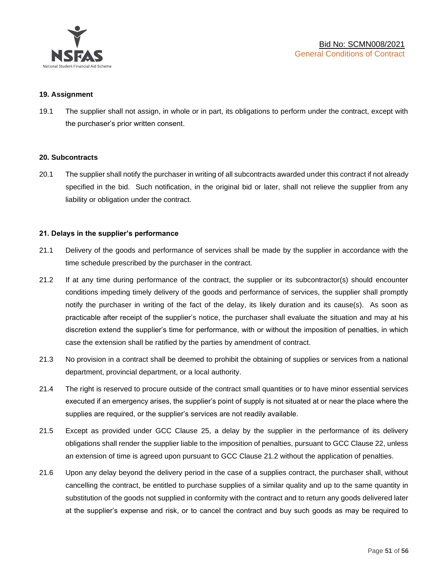

#### **19. Assignment**

19.1 The supplier shall not assign, in whole or in part, its obligations to perform under the contract, except with the purchaser's prior written consent.

#### **20. Subcontracts**

20.1 The supplier shall notify the purchaser in writing of all subcontracts awarded under this contract if not already specified in the bid. Such notification, in the original bid or later, shall not relieve the supplier from any liability or obligation under the contract.

#### **21. Delays in the supplier's performance**

- 21.1 Delivery of the goods and performance of services shall be made by the supplier in accordance with the time schedule prescribed by the purchaser in the contract.
- 21.2 If at any time during performance of the contract, the supplier or its subcontractor(s) should encounter conditions impeding timely delivery of the goods and performance of services, the supplier shall promptly notify the purchaser in writing of the fact of the delay, its likely duration and its cause(s). As soon as practicable after receipt of the supplier's notice, the purchaser shall evaluate the situation and may at his discretion extend the supplier's time for performance, with or without the imposition of penalties, in which case the extension shall be ratified by the parties by amendment of contract.
- 21.3 No provision in a contract shall be deemed to prohibit the obtaining of supplies or services from a national department, provincial department, or a local authority.
- 21.4 The right is reserved to procure outside of the contract small quantities or to have minor essential services executed if an emergency arises, the supplier's point of supply is not situated at or near the place where the supplies are required, or the supplier's services are not readily available.
- 21.5 Except as provided under GCC Clause 25, a delay by the supplier in the performance of its delivery obligations shall render the supplier liable to the imposition of penalties, pursuant to GCC Clause 22, unless an extension of time is agreed upon pursuant to GCC Clause 21.2 without the application of penalties.
- 21.6 Upon any delay beyond the delivery period in the case of a supplies contract, the purchaser shall, without cancelling the contract, be entitled to purchase supplies of a similar quality and up to the same quantity in substitution of the goods not supplied in conformity with the contract and to return any goods delivered later at the supplier's expense and risk, or to cancel the contract and buy such goods as may be required to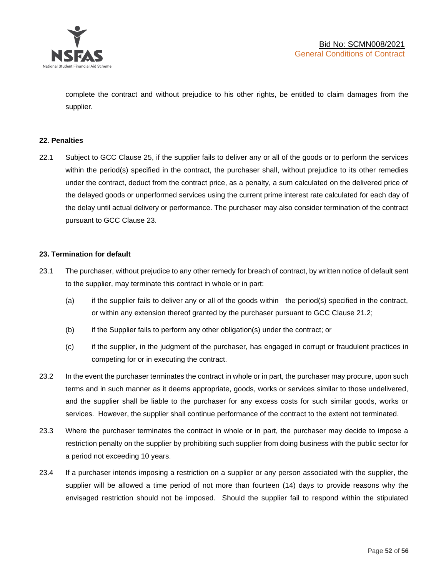

complete the contract and without prejudice to his other rights, be entitled to claim damages from the supplier.

#### **22. Penalties**

22.1 Subject to GCC Clause 25, if the supplier fails to deliver any or all of the goods or to perform the services within the period(s) specified in the contract, the purchaser shall, without prejudice to its other remedies under the contract, deduct from the contract price, as a penalty, a sum calculated on the delivered price of the delayed goods or unperformed services using the current prime interest rate calculated for each day of the delay until actual delivery or performance. The purchaser may also consider termination of the contract pursuant to GCC Clause 23.

# **23. Termination for default**

- 23.1 The purchaser, without prejudice to any other remedy for breach of contract, by written notice of default sent to the supplier, may terminate this contract in whole or in part:
	- (a) if the supplier fails to deliver any or all of the goods within the period(s) specified in the contract, or within any extension thereof granted by the purchaser pursuant to GCC Clause 21.2;
	- (b) if the Supplier fails to perform any other obligation(s) under the contract; or
	- (c) if the supplier, in the judgment of the purchaser, has engaged in corrupt or fraudulent practices in competing for or in executing the contract.
- 23.2 In the event the purchaser terminates the contract in whole or in part, the purchaser may procure, upon such terms and in such manner as it deems appropriate, goods, works or services similar to those undelivered, and the supplier shall be liable to the purchaser for any excess costs for such similar goods, works or services. However, the supplier shall continue performance of the contract to the extent not terminated.
- 23.3 Where the purchaser terminates the contract in whole or in part, the purchaser may decide to impose a restriction penalty on the supplier by prohibiting such supplier from doing business with the public sector for a period not exceeding 10 years.
- 23.4 If a purchaser intends imposing a restriction on a supplier or any person associated with the supplier, the supplier will be allowed a time period of not more than fourteen (14) days to provide reasons why the envisaged restriction should not be imposed. Should the supplier fail to respond within the stipulated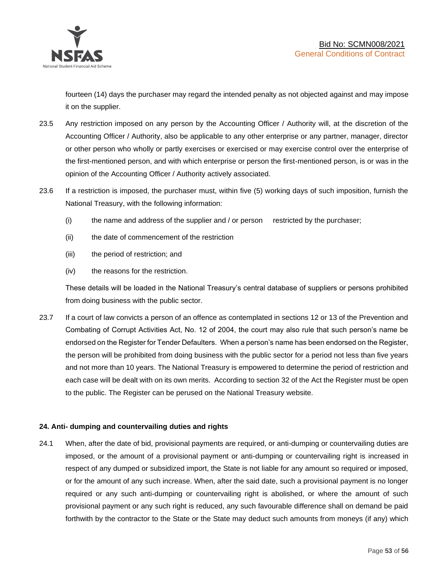

fourteen (14) days the purchaser may regard the intended penalty as not objected against and may impose it on the supplier.

- 23.5 Any restriction imposed on any person by the Accounting Officer / Authority will, at the discretion of the Accounting Officer / Authority, also be applicable to any other enterprise or any partner, manager, director or other person who wholly or partly exercises or exercised or may exercise control over the enterprise of the first-mentioned person, and with which enterprise or person the first-mentioned person, is or was in the opinion of the Accounting Officer / Authority actively associated.
- 23.6 If a restriction is imposed, the purchaser must, within five (5) working days of such imposition, furnish the National Treasury, with the following information:
	- (i) the name and address of the supplier and / or person restricted by the purchaser;
	- (ii) the date of commencement of the restriction
	- (iii) the period of restriction; and
	- (iv) the reasons for the restriction.

These details will be loaded in the National Treasury's central database of suppliers or persons prohibited from doing business with the public sector.

23.7 If a court of law convicts a person of an offence as contemplated in sections 12 or 13 of the Prevention and Combating of Corrupt Activities Act, No. 12 of 2004, the court may also rule that such person's name be endorsed on the Register for Tender Defaulters. When a person's name has been endorsed on the Register, the person will be prohibited from doing business with the public sector for a period not less than five years and not more than 10 years. The National Treasury is empowered to determine the period of restriction and each case will be dealt with on its own merits. According to section 32 of the Act the Register must be open to the public. The Register can be perused on the National Treasury website.

# **24. Anti- dumping and countervailing duties and rights**

24.1 When, after the date of bid, provisional payments are required, or anti-dumping or countervailing duties are imposed, or the amount of a provisional payment or anti-dumping or countervailing right is increased in respect of any dumped or subsidized import, the State is not liable for any amount so required or imposed, or for the amount of any such increase. When, after the said date, such a provisional payment is no longer required or any such anti-dumping or countervailing right is abolished, or where the amount of such provisional payment or any such right is reduced, any such favourable difference shall on demand be paid forthwith by the contractor to the State or the State may deduct such amounts from moneys (if any) which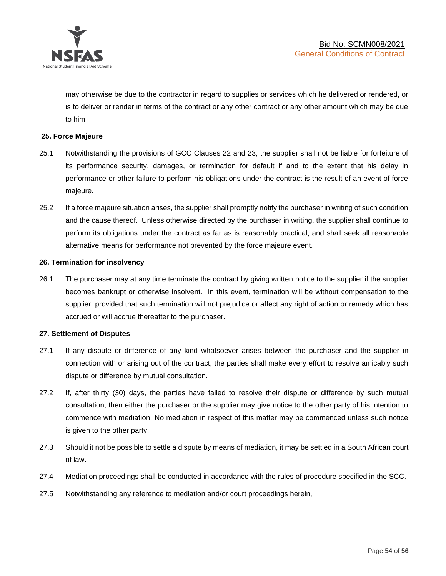

may otherwise be due to the contractor in regard to supplies or services which he delivered or rendered, or is to deliver or render in terms of the contract or any other contract or any other amount which may be due to him

# **25. Force Majeure**

- 25.1 Notwithstanding the provisions of GCC Clauses 22 and 23, the supplier shall not be liable for forfeiture of its performance security, damages, or termination for default if and to the extent that his delay in performance or other failure to perform his obligations under the contract is the result of an event of force majeure.
- 25.2 If a force majeure situation arises, the supplier shall promptly notify the purchaser in writing of such condition and the cause thereof. Unless otherwise directed by the purchaser in writing, the supplier shall continue to perform its obligations under the contract as far as is reasonably practical, and shall seek all reasonable alternative means for performance not prevented by the force majeure event.

#### **26. Termination for insolvency**

26.1 The purchaser may at any time terminate the contract by giving written notice to the supplier if the supplier becomes bankrupt or otherwise insolvent. In this event, termination will be without compensation to the supplier, provided that such termination will not prejudice or affect any right of action or remedy which has accrued or will accrue thereafter to the purchaser.

#### **27. Settlement of Disputes**

- 27.1 If any dispute or difference of any kind whatsoever arises between the purchaser and the supplier in connection with or arising out of the contract, the parties shall make every effort to resolve amicably such dispute or difference by mutual consultation.
- 27.2 If, after thirty (30) days, the parties have failed to resolve their dispute or difference by such mutual consultation, then either the purchaser or the supplier may give notice to the other party of his intention to commence with mediation. No mediation in respect of this matter may be commenced unless such notice is given to the other party.
- 27.3 Should it not be possible to settle a dispute by means of mediation, it may be settled in a South African court of law.
- 27.4 Mediation proceedings shall be conducted in accordance with the rules of procedure specified in the SCC.
- 27.5 Notwithstanding any reference to mediation and/or court proceedings herein,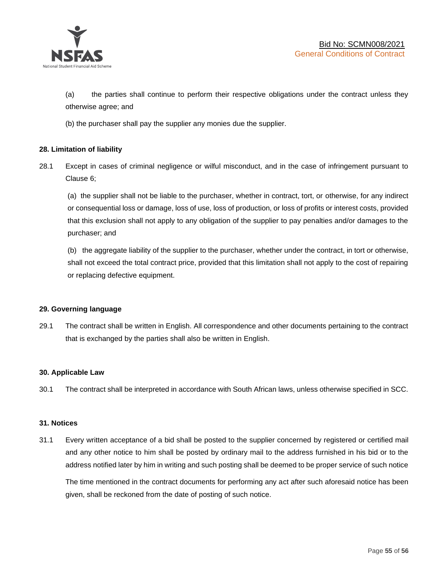

(a) the parties shall continue to perform their respective obligations under the contract unless they otherwise agree; and

(b) the purchaser shall pay the supplier any monies due the supplier.

# **28. Limitation of liability**

28.1 Except in cases of criminal negligence or wilful misconduct, and in the case of infringement pursuant to Clause 6;

(a) the supplier shall not be liable to the purchaser, whether in contract, tort, or otherwise, for any indirect or consequential loss or damage, loss of use, loss of production, or loss of profits or interest costs, provided that this exclusion shall not apply to any obligation of the supplier to pay penalties and/or damages to the purchaser; and

(b) the aggregate liability of the supplier to the purchaser, whether under the contract, in tort or otherwise, shall not exceed the total contract price, provided that this limitation shall not apply to the cost of repairing or replacing defective equipment.

#### **29. Governing language**

29.1 The contract shall be written in English. All correspondence and other documents pertaining to the contract that is exchanged by the parties shall also be written in English.

#### **30. Applicable Law**

30.1 The contract shall be interpreted in accordance with South African laws, unless otherwise specified in SCC.

#### **31. Notices**

31.1 Every written acceptance of a bid shall be posted to the supplier concerned by registered or certified mail and any other notice to him shall be posted by ordinary mail to the address furnished in his bid or to the address notified later by him in writing and such posting shall be deemed to be proper service of such notice

The time mentioned in the contract documents for performing any act after such aforesaid notice has been given, shall be reckoned from the date of posting of such notice.